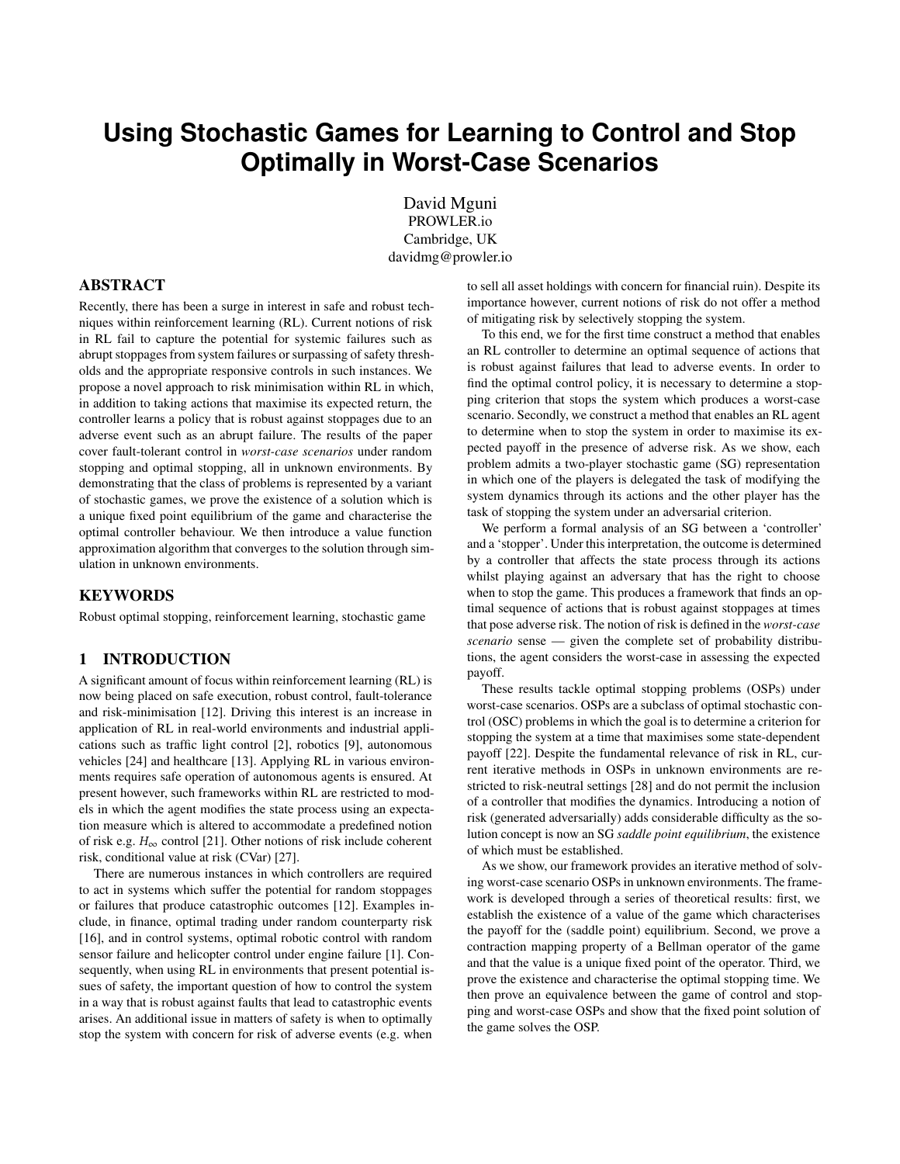# **Using Stochastic Games for Learning to Control and Stop Optimally in Worst-Case Scenarios**

David Mguni PROWLER.io Cambridge, UK davidmg@prowler.io

# ABSTRACT

Recently, there has been a surge in interest in safe and robust techniques within reinforcement learning (RL). Current notions of risk in RL fail to capture the potential for systemic failures such as abrupt stoppages from system failures or surpassing of safety thresholds and the appropriate responsive controls in such instances. We propose a novel approach to risk minimisation within RL in which, in addition to taking actions that maximise its expected return, the controller learns a policy that is robust against stoppages due to an adverse event such as an abrupt failure. The results of the paper cover fault-tolerant control in *worst-case scenarios* under random stopping and optimal stopping, all in unknown environments. By demonstrating that the class of problems is represented by a variant of stochastic games, we prove the existence of a solution which is a unique fixed point equilibrium of the game and characterise the optimal controller behaviour. We then introduce a value function approximation algorithm that converges to the solution through simulation in unknown environments.

#### KEYWORDS

Robust optimal stopping, reinforcement learning, stochastic game

#### 1 INTRODUCTION

A significant amount of focus within reinforcement learning (RL) is now being placed on safe execution, robust control, fault-tolerance and risk-minimisation [[12\]](#page-8-0). Driving this interest is an increase in application of RL in real-world environments and industrial applications such as traffic light control [[2](#page-7-0)], robotics [\[9\]](#page-8-1), autonomous vehicles [\[24](#page-8-2)] and healthcare [\[13](#page-8-3)]. Applying RL in various environments requires safe operation of autonomous agents is ensured. At present however, such frameworks within RL are restricted to models in which the agent modifies the state process using an expectation measure which is altered to accommodate a predefined notion of risk e.g.  $H_{\infty}$  control [[21\]](#page-8-4). Other notions of risk include coherent risk, conditional value at risk (CVar) [[27\]](#page-8-5).

There are numerous instances in which controllers are required to act in systems which suffer the potential for random stoppages or failures that produce catastrophic outcomes [[12\]](#page-8-0). Examples include, in finance, optimal trading under random counterparty risk [[16\]](#page-8-6), and in control systems, optimal robotic control with random sensor failure and helicopter control under engine failure [\[1\]](#page-7-1). Consequently, when using RL in environments that present potential issues of safety, the important question of how to control the system in a way that is robust against faults that lead to catastrophic events arises. An additional issue in matters of safety is when to optimally stop the system with concern for risk of adverse events (e.g. when

to sell all asset holdings with concern for financial ruin). Despite its importance however, current notions of risk do not offer a method of mitigating risk by selectively stopping the system.

To this end, we for the first time construct a method that enables an RL controller to determine an optimal sequence of actions that is robust against failures that lead to adverse events. In order to find the optimal control policy, it is necessary to determine a stopping criterion that stops the system which produces a worst-case scenario. Secondly, we construct a method that enables an RL agent to determine when to stop the system in order to maximise its expected payoff in the presence of adverse risk. As we show, each problem admits a two-player stochastic game (SG) representation in which one of the players is delegated the task of modifying the system dynamics through its actions and the other player has the task of stopping the system under an adversarial criterion.

We perform a formal analysis of an SG between a 'controller' and a 'stopper'. Under this interpretation, the outcome is determined by a controller that affects the state process through its actions whilst playing against an adversary that has the right to choose when to stop the game. This produces a framework that finds an optimal sequence of actions that is robust against stoppages at times that pose adverse risk. The notion of risk is defined in the *worst-case scenario* sense — given the complete set of probability distributions, the agent considers the worst-case in assessing the expected payoff.

These results tackle optimal stopping problems (OSPs) under worst-case scenarios. OSPs are a subclass of optimal stochastic control (OSC) problems in which the goal is to determine a criterion for stopping the system at a time that maximises some state-dependent payoff [[22\]](#page-8-7). Despite the fundamental relevance of risk in RL, current iterative methods in OSPs in unknown environments are restricted to risk-neutral settings [\[28](#page-8-8)] and do not permit the inclusion of a controller that modifies the dynamics. Introducing a notion of risk (generated adversarially) adds considerable difficulty as the solution concept is now an SG *saddle point equilibrium*, the existence of which must be established.

As we show, our framework provides an iterative method of solving worst-case scenario OSPs in unknown environments. The framework is developed through a series of theoretical results: first, we establish the existence of a value of the game which characterises the payoff for the (saddle point) equilibrium. Second, we prove a contraction mapping property of a Bellman operator of the game and that the value is a unique fixed point of the operator. Third, we prove the existence and characterise the optimal stopping time. We then prove an equivalence between the game of control and stopping and worst-case OSPs and show that the fixed point solution of the game solves the OSP.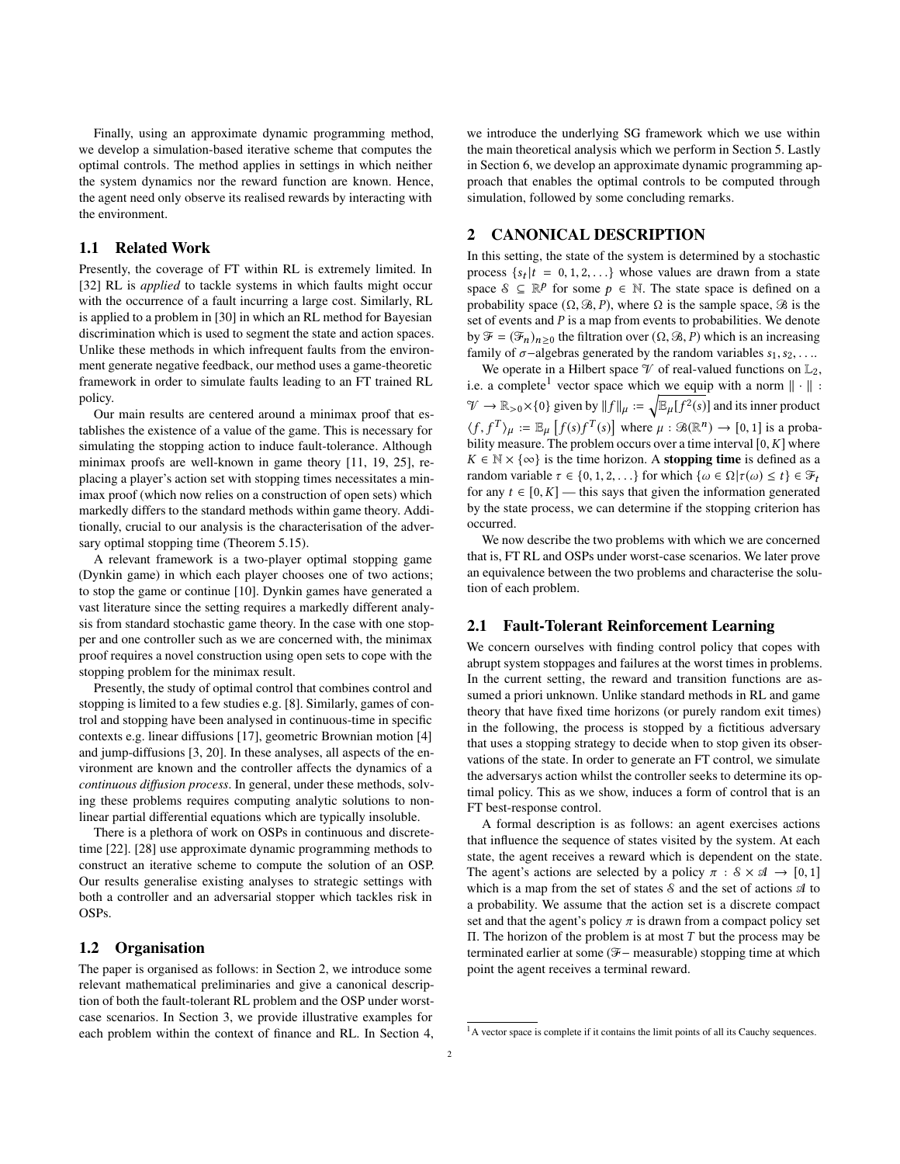Finally, using an approximate dynamic programming method, we develop a simulation-based iterative scheme that computes the optimal controls. The method applies in settings in which neither the system dynamics nor the reward function are known. Hence, the agent need only observe its realised rewards by interacting with the environment.

#### 1.1 Related Work

Presently, the coverage of FT within RL is extremely limited. In [[32\]](#page-8-9) RL is *applied* to tackle systems in which faults might occur with the occurrence of a fault incurring a large cost. Similarly, RL is applied to a problem in [\[30\]](#page-8-10) in which an RL method for Bayesian discrimination which is used to segment the state and action spaces. Unlike these methods in which infrequent faults from the environment generate negative feedback, our method uses a game-theoretic framework in order to simulate faults leading to an FT trained RL policy.

Our main results are centered around a minimax proof that establishes the existence of a value of the game. This is necessary for simulating the stopping action to induce fault-tolerance. Although minimax proofs are well-known in game theory [[11,](#page-8-11) [19](#page-8-12), [25\]](#page-8-13), replacing a player's action set with stopping times necessitates a minimax proof (which now relies on a construction of open sets) which markedly differs to the standard methods within game theory. Additionally, crucial to our analysis is the characterisation of the adversary optimal stopping time (Theorem [5.15](#page-6-0)).

A relevant framework is a two-player optimal stopping game (Dynkin game) in which each player chooses one of two actions; to stop the game or continue [\[10](#page-8-14)]. Dynkin games have generated a vast literature since the setting requires a markedly different analysis from standard stochastic game theory. In the case with one stopper and one controller such as we are concerned with, the minimax proof requires a novel construction using open sets to cope with the stopping problem for the minimax result.

Presently, the study of optimal control that combines control and stopping is limited to a few studies e.g. [[8](#page-8-15)]. Similarly, games of control and stopping have been analysed in continuous-time in specific contexts e.g. linear diffusions [\[17](#page-8-16)], geometric Brownian motion [[4](#page-8-17)] and jump-diffusions [\[3,](#page-8-18) [20](#page-8-19)]. In these analyses, all aspects of the environment are known and the controller affects the dynamics of a *continuous diffusion process*. In general, under these methods, solving these problems requires computing analytic solutions to nonlinear partial differential equations which are typically insoluble.

There is a plethora of work on OSPs in continuous and discretetime [\[22\]](#page-8-7). [\[28](#page-8-8)] use approximate dynamic programming methods to construct an iterative scheme to compute the solution of an OSP. Our results generalise existing analyses to strategic settings with both a controller and an adversarial stopper which tackles risk in OSPs.

#### 1.2 Organisation

The paper is organised as follows: in Section [2,](#page-1-0) we introduce some relevant mathematical preliminaries and give a canonical description of both the fault-tolerant RL problem and the OSP under worstcase scenarios. In Section [3](#page-2-0), we provide illustrative examples for each problem within the context of finance and RL. In Section [4,](#page-3-0)

we introduce the underlying SG framework which we use within the main theoretical analysis which we perform in Section [5.](#page-3-1) Lastly in Section [6](#page-7-2), we develop an approximate dynamic programming approach that enables the optimal controls to be computed through simulation, followed by some concluding remarks.

# <span id="page-1-0"></span>2 CANONICAL DESCRIPTION

In this setting, the state of the system is determined by a stochastic process  $\{s_t | t = 0, 1, 2, \ldots\}$  whose values are drawn from a state space  $\mathcal{S} \subseteq \mathbb{R}^p$  for some  $p \in \mathbb{N}$ . The state space is defined on a probability space  $(\Omega, \mathcal{B}, P)$ , where  $\Omega$  is the sample space,  $\mathcal{B}$  is the set of events and *P* is a map from events to probabilities. We denote by  $\mathcal{F} = (\mathcal{F}_n)_{n>0}$  the filtration over  $(\Omega, \mathcal{B}, P)$  which is an increasing family of  $\sigma$ −algebras generated by the random variables  $s_1, s_2, \ldots$ 

We operate in a Hilbert space  $\mathcal V$  of real-valued functions on  $\mathbb L_2$ , i.e. a complete<sup>[1](#page-1-1)</sup> vector space which we equip with a norm  $\|\cdot\|$ :  $\mathcal{V} \to \mathbb{R}_{>0} \times \{0\}$  given by  $||f||_{\mu} := \sqrt{\mathbb{E}_{\mu}[f^2(s)]}$  and its inner product  $\langle f, f^T \rangle_{\mu} := \mathbb{E}_{\mu} \left[ f(s) f^T(s) \right]$  where  $\mu : \mathfrak{B}(\mathbb{R}^n) \to [0, 1]$  is a probability measure. The problem occurs over a time interval [0,*K*] where  $K \in \mathbb{N} \times \{\infty\}$  is the time horizon. A **stopping time** is defined as a random variable  $\tau \in \{0, 1, 2, \ldots\}$  for which  $\{\omega \in \Omega | \tau(\omega) \leq t\} \in \mathcal{F}_t$ for any  $t \in [0, K]$  — this says that given the information generated by the state process, we can determine if the stopping criterion has occurred.

We now describe the two problems with which we are concerned that is, FT RL and OSPs under worst-case scenarios. We later prove an equivalence between the two problems and characterise the solution of each problem.

#### 2.1 Fault-Tolerant Reinforcement Learning

We concern ourselves with finding control policy that copes with abrupt system stoppages and failures at the worst times in problems. In the current setting, the reward and transition functions are assumed a priori unknown. Unlike standard methods in RL and game theory that have fixed time horizons (or purely random exit times) in the following, the process is stopped by a fictitious adversary that uses a stopping strategy to decide when to stop given its observations of the state. In order to generate an FT control, we simulate the adversarys action whilst the controller seeks to determine its optimal policy. This as we show, induces a form of control that is an FT best-response control.

A formal description is as follows: an agent exercises actions that influence the sequence of states visited by the system. At each state, the agent receives a reward which is dependent on the state. The agent's actions are selected by a policy  $\pi : \mathcal{S} \times \mathcal{A} \rightarrow [0, 1]$ which is a map from the set of states  $\delta$  and the set of actions  $\mathcal A$  to a probability. We assume that the action set is a discrete compact set and that the agent's policy  $\pi$  is drawn from a compact policy set Π. The horizon of the problem is at most *T* but the process may be terminated earlier at some (F− measurable) stopping time at which point the agent receives a terminal reward.

<span id="page-1-1"></span> $<sup>1</sup>A$  vector space is complete if it contains the limit points of all its Cauchy sequences.</sup>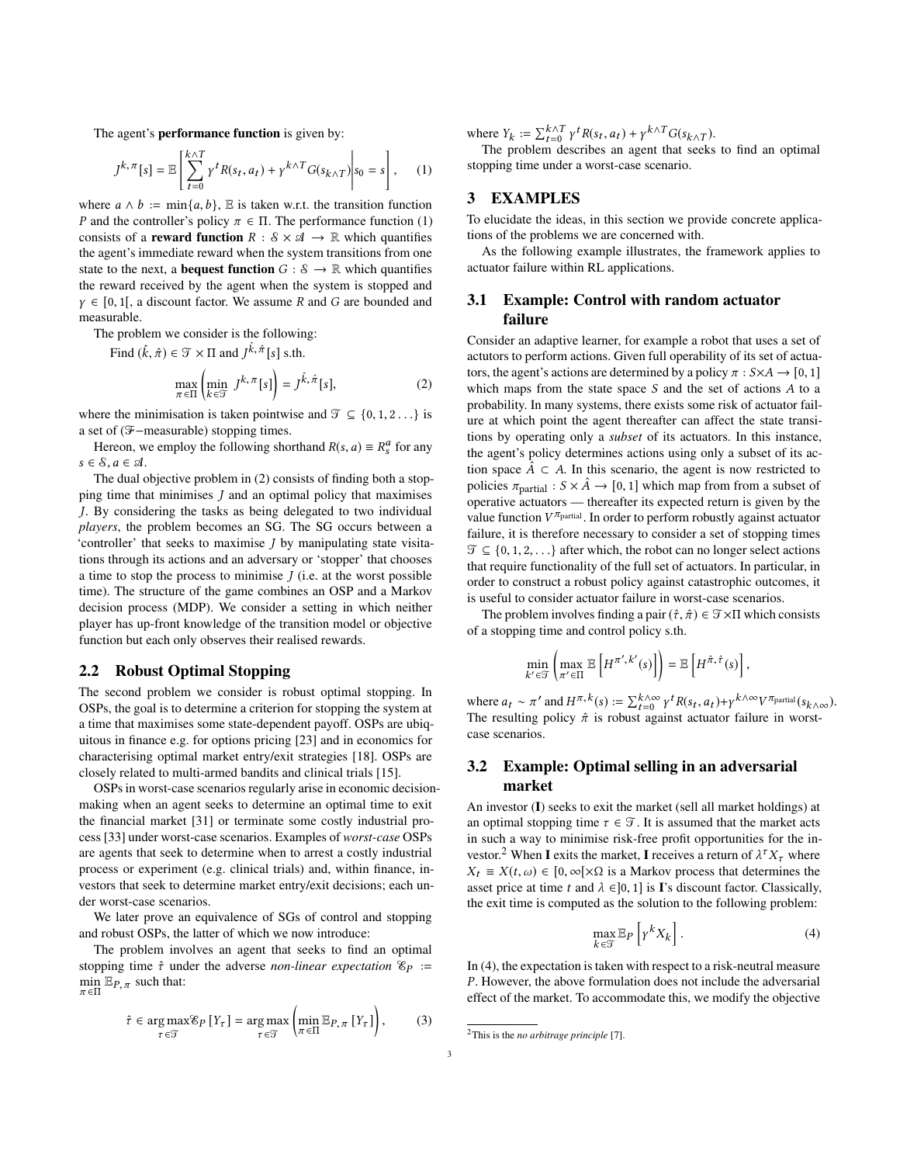The agent's performance function is given by:

$$
J^{k,\pi}[s] = \mathbb{E}\left[\sum_{t=0}^{k \wedge T} \gamma^t R(s_t, a_t) + \gamma^{k \wedge T} G(s_{k \wedge T})\middle| s_0 = s\right], \quad (1)
$$

where  $a \wedge b := \min\{a, b\}$ , E is taken w.r.t. the transition function *P* and the controller's policy  $\pi \in \Pi$ . The performance function [\(1\)](#page-2-1) consists of a **reward function**  $R : \mathcal{S} \times \mathcal{A} \rightarrow \mathbb{R}$  which quantifies the agent's immediate reward when the system transitions from one state to the next, a **bequest function**  $G : \mathcal{S} \to \mathbb{R}$  which quantifies the reward received by the agent when the system is stopped and *γ* ∈ [0, 1[, a discount factor. We assume *R* and *G* are bounded and measurable.

The problem we consider is the following:

Find  $(\hat{k}, \hat{\pi}) \in \mathcal{T} \times \Pi$  and  $J^{\hat{k}, \hat{\pi}}[s]$  s.th.

<span id="page-2-2"></span>
$$
\max_{\pi \in \Pi} \left( \min_{k \in \mathcal{T}} J^{k, \pi}[s] \right) = J^{\hat{k}, \hat{\pi}}[s], \tag{2}
$$

where the minimisation is taken pointwise and  $\mathcal{T} \subseteq \{0, 1, 2, \ldots\}$  is a set of (F−measurable) stopping times.

Hereon, we employ the following shorthand  $R(s, a) \equiv R_s^a$  for any  $s \in \mathcal{S}, a \in \mathcal{A}.$ 

The dual objective problem in [\(2\)](#page-2-2) consists of finding both a stopping time that minimises *J* and an optimal policy that maximises *J*. By considering the tasks as being delegated to two individual *players*, the problem becomes an SG. The SG occurs between a 'controller' that seeks to maximise *J* by manipulating state visitations through its actions and an adversary or 'stopper' that chooses a time to stop the process to minimise *J* (i.e. at the worst possible time). The structure of the game combines an OSP and a Markov decision process (MDP). We consider a setting in which neither player has up-front knowledge of the transition model or objective function but each only observes their realised rewards.

#### 2.2 Robust Optimal Stopping

The second problem we consider is robust optimal stopping. In OSPs, the goal is to determine a criterion for stopping the system at a time that maximises some state-dependent payoff. OSPs are ubiquitous in finance e.g. for options pricing [[23\]](#page-8-20) and in economics for characterising optimal market entry/exit strategies [[18\]](#page-8-21). OSPs are closely related to multi-armed bandits and clinical trials [\[15\]](#page-8-22).

OSPs in worst-case scenarios regularly arise in economic decisionmaking when an agent seeks to determine an optimal time to exit the financial market [\[31](#page-8-23)] or terminate some costly industrial process [[33\]](#page-8-24) under worst-case scenarios. Examples of *worst-case* OSPs are agents that seek to determine when to arrest a costly industrial process or experiment (e.g. clinical trials) and, within finance, investors that seek to determine market entry/exit decisions; each under worst-case scenarios.

We later prove an equivalence of SGs of control and stopping and robust OSPs, the latter of which we now introduce:

The problem involves an agent that seeks to find an optimal stopping time *τ*ˆ under the adverse *non-linear expectation* <sup>E</sup>*P* :=  $\min_{\pi \in \Pi} \mathbb{E}_{P, \pi}$  such that:

$$
\hat{\tau} \in \underset{\tau \in \mathcal{T}}{\arg \max} \mathcal{E}_P \left[ Y_\tau \right] = \underset{\tau \in \mathcal{T}}{\arg \max} \left( \underset{\pi \in \Pi}{\min} \mathbb{E}_{P, \pi} \left[ Y_\tau \right] \right), \tag{3}
$$

where  $Y_k := \sum_{t=0}^{k \wedge T} \gamma^t R(s_t, a_t) + \gamma^{k \wedge T} G(s_{k \wedge T}).$ 

<span id="page-2-1"></span>The problem describes an agent that seeks to find an optimal stopping time under a worst-case scenario.

### <span id="page-2-0"></span>3 EXAMPLES

To elucidate the ideas, in this section we provide concrete applications of the problems we are concerned with.

As the following example illustrates, the framework applies to actuator failure within RL applications.

# 3.1 Example: Control with random actuator failure

Consider an adaptive learner, for example a robot that uses a set of actutors to perform actions. Given full operability of its set of actuators, the agent's actions are determined by a policy  $\pi$  :  $S \times A \rightarrow [0, 1]$ which maps from the state space *S* and the set of actions *A* to a probability. In many systems, there exists some risk of actuator failure at which point the agent thereafter can affect the state transitions by operating only a *subset* of its actuators. In this instance, the agent's policy determines actions using only a subset of its action space  $\hat{A} \subset A$ . In this scenario, the agent is now restricted to policies  $\pi_{\text{partial}} : S \times \hat{A} \rightarrow [0, 1]$  which map from from a subset of operative actuators — thereafter its expected return is given by the value function *V <sup>π</sup>*partial . In order to perform robustly against actuator failure, it is therefore necessary to consider a set of stopping times  $\mathcal{T} \subseteq \{0, 1, 2, \ldots\}$  after which, the robot can no longer select actions that require functionality of the full set of actuators. In particular, in order to construct a robust policy against catastrophic outcomes, it is useful to consider actuator failure in worst-case scenarios.

The problem involves finding a pair  $(\hat{\tau}, \hat{\pi}) \in \mathcal{T} \times \Pi$  which consists of a stopping time and control policy s.th.

$$
\min_{k' \in \mathcal{T}} \left( \max_{\pi' \in \Pi} \mathbb{E}\left[ H^{\pi',k'}(s) \right] \right) = \mathbb{E}\left[ H^{\hat{\pi},\hat{\tau}}(s) \right]
$$

where  $a_t \sim \pi'$  and  $H^{\pi, k}(s) := \sum_{t=0}^{k \wedge \infty} \gamma^t R(s_t, a_t) + \gamma^{k \wedge \infty} V^{\pi_{\text{partial}}}(s_{k \wedge \infty}).$ The resulting policy  $\hat{\pi}$  is robust against actuator failure in worstcase scenarios.

# 3.2 Example: Optimal selling in an adversarial market

An investor (I) seeks to exit the market (sell all market holdings) at an optimal stopping time  $\tau \in \mathcal{T}$ . It is assumed that the market acts in such a way to minimise risk-free profit opportunities for the in-vestor.<sup>[2](#page-2-3)</sup> When I exits the market, I receives a return of  $\lambda^{\tau} X_{\tau}$  where *X*<sup>*t*</sup> ≡ *X*(*t*, *ω*) ∈ [0, ∞[×Ω is a Markov process that determines the asset price at time *t* and  $\lambda \in ]0,1]$  is **I**'s discount factor. Classically, the exit time is computed as the solution to the following problem:

<span id="page-2-4"></span>
$$
\max_{k \in \mathcal{T}} \mathbb{E}_P \left[ \gamma^k X_k \right]. \tag{4}
$$

,

In [\(4\)](#page-2-4), the expectation is taken with respect to a risk-neutral measure *P*. However, the above formulation does not include the adversarial effect of the market. To accommodate this, we modify the objective

<span id="page-2-5"></span><span id="page-2-3"></span><sup>2</sup>This is the *no arbitrage principle* [[7](#page-8-25)].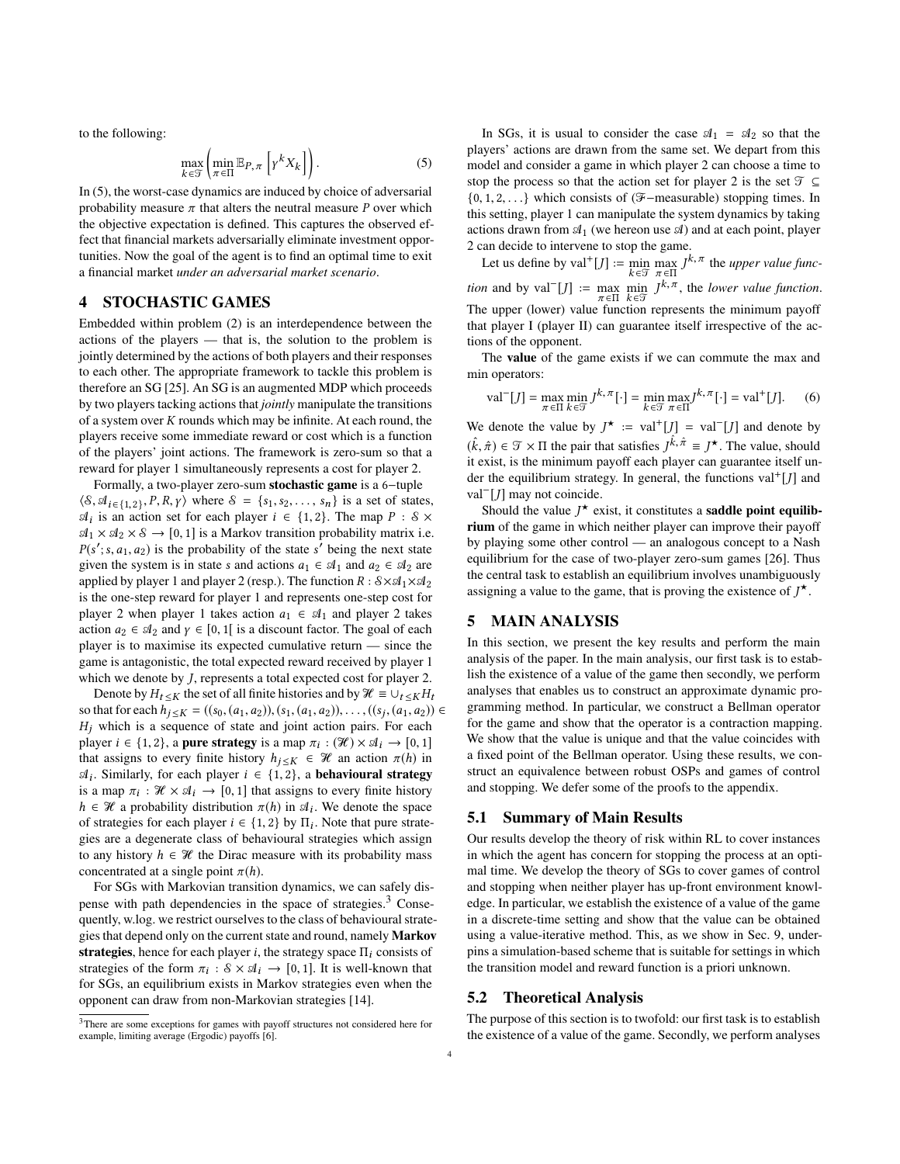to the following:

<span id="page-3-2"></span>
$$
\max_{k \in \mathcal{T}} \left( \min_{\pi \in \Pi} \mathbb{E}_{P, \pi} \left[ \gamma^k X_k \right] \right). \tag{5}
$$

In [\(5\)](#page-3-2), the worst-case dynamics are induced by choice of adversarial probability measure  $\pi$  that alters the neutral measure *P* over which the objective expectation is defined. This captures the observed effect that financial markets adversarially eliminate investment opportunities. Now the goal of the agent is to find an optimal time to exit a financial market *under an adversarial market scenario*.

# <span id="page-3-0"></span>4 STOCHASTIC GAMES

Embedded within problem [\(2\)](#page-2-2) is an interdependence between the actions of the players — that is, the solution to the problem is jointly determined by the actions of both players and their responses to each other. The appropriate framework to tackle this problem is therefore an SG [[25\]](#page-8-13). An SG is an augmented MDP which proceeds by two players tacking actions that *jointly* manipulate the transitions of a system over *K* rounds which may be infinite. At each round, the players receive some immediate reward or cost which is a function of the players' joint actions. The framework is zero-sum so that a reward for player 1 simultaneously represents a cost for player 2.

Formally, a two-player zero-sum stochastic game is a 6−tuple  $\langle \mathcal{S}, \mathcal{A}_{i \in \{1,2\}}, P, R, \gamma \rangle$  where  $\mathcal{S} = \{s_1, s_2, \dots, s_n\}$  is a set of states,  $\mathcal{A}_i$  is an action set for each player  $i \in \{1, 2\}$ . The map  $P : \mathcal{S} \times$  $\mathfrak{A}_1 \times \mathfrak{A}_2 \times \mathfrak{S} \to [0,1]$  is a Markov transition probability matrix i.e.  $P(s'; s, a_1, a_2)$  is the probability of the state  $s'$  being the next state given the system is in state *s* and actions  $a_1 \in \mathcal{A}_1$  and  $a_2 \in \mathcal{A}_2$  are applied by player 1 and player 2 (resp.). The function  $R: S \times A_1 \times A_2$ is the one-step reward for player 1 and represents one-step cost for player 2 when player 1 takes action  $a_1 \in A_1$  and player 2 takes action  $a_2 \in \mathcal{A}_2$  and  $\gamma \in [0, 1]$  is a discount factor. The goal of each player is to maximise its expected cumulative return — since the game is antagonistic, the total expected reward received by player 1 which we denote by *J*, represents a total expected cost for player 2.

Denote by  $H_t \leq K$  the set of all finite histories and by  $\mathcal{H} \equiv \cup_t K H_t$ so that for each  $h_{j \leq K} = ((s_0, (a_1, a_2)), (s_1, (a_1, a_2)), \ldots, ((s_j, (a_1, a_2)) \in$  $H_j$  which is a sequence of state and joint action pairs. For each player  $i \in \{1, 2\}$ , a **pure strategy** is a map  $\pi_i : (\mathcal{H}) \times \mathcal{A}_i \to [0, 1]$ that assigns to every finite history  $h_{j \leq K} \in \mathcal{H}$  an action  $\pi(h)$  in  $\mathcal{A}_i$ . Similarly, for each player *i* ∈ {1, 2}, a **behavioural strategy** is a map  $\pi_i : \mathcal{H} \times \mathcal{A}_i \to [0, 1]$  that assigns to every finite history  $h \in \mathcal{H}$  a probability distribution  $\pi(h)$  in  $\mathcal{A}_i$ . We denote the space of strategies for each player  $i \in \{1, 2\}$  by  $\Pi_i$ . Note that pure strategies are a degenerate class of behavioural strategies which assign to any history  $h \in \mathcal{H}$  the Dirac measure with its probability mass concentrated at a single point  $\pi(h)$ .

For SGs with Markovian transition dynamics, we can safely dispense with path dependencies in the space of strategies.[3](#page-3-3) Consequently, w.log. we restrict ourselves to the class of behavioural strategies that depend only on the current state and round, namely Markov strategies, hence for each player *i*, the strategy space Π*i* consists of strategies of the form  $\pi_i$ :  $\delta \times \mathcal{A}_i \to [0, 1]$ . It is well-known that for SGs, an equilibrium exists in Markov strategies even when the opponent can draw from non-Markovian strategies [[14\]](#page-8-26).

In SGs, it is usual to consider the case  $A_1 = A_2$  so that the players' actions are drawn from the same set. We depart from this model and consider a game in which player 2 can choose a time to stop the process so that the action set for player 2 is the set  $\mathcal{T} \subseteq$ {0, 1, 2, . . .} which consists of (F−measurable) stopping times. In this setting, player 1 can manipulate the system dynamics by taking actions drawn from  $\mathfrak{A}_1$  (we hereon use  $\mathfrak{A}$ ) and at each point, player 2 can decide to intervene to stop the game.

Let us define by val<sup>+</sup>[*J*] := min max  $J^{k, \pi}$  the *upper value funck*∈T  $\pi$  ∈Π *k* ∈T *n n k*<sub>*n*</sub> ∈Π *k*<sub>*n*</sub> ∈Π *k*<sub>*n*</sub> ∈Π *k*<sub>*n*</sub> ∈Π *k*<sub>*n*</sub> ∈Π *k*<sub>*n*</sub> ∈Π *k*<sub>*n*</sub> ∈Π *k*<sub>*n*</sub> ∈Π *k*<sub>*n*</sub> επ *k*<sub>*n*</sub> *m k*<sub>*n*</sub> *m k*<sub>*n*</sub> *m k*<sub>*n*</sub> *m k*<sub>*n*</sub> *m k*<sub>*n*</sub> *m k*<sub>*n</sub>* The upper (lower) value function represents the minimum payoff that player I (player II) can guarantee itself irrespective of the actions of the opponent.

The value of the game exists if we can commute the max and min operators:

$$
\text{val}^-[J] = \max_{\pi \in \Pi} \min_{k \in \mathcal{T}} J^{k,\pi}[\cdot] = \min_{k \in \mathcal{T}} \max_{\pi \in \Pi} J^{k,\pi}[\cdot] = \text{val}^+[J].\tag{6}
$$

We denote the value by  $J^* := \text{val}^+[J] = \text{val}^-[J]$  and denote by  $(\hat{k}, \hat{\pi}) \in \mathcal{T} \times \Pi$  the pair that satisfies  $J^{\hat{k}, \hat{\pi}} \equiv J^{\star}$ . The value, should it exist, is the minimum payoff each player can guarantee itself under the equilibrium strategy. In general, the functions val<sup>+</sup> [*J*] and val<sup>−</sup> [*J*] may not coincide.

Should the value  $J^*$  exist, it constitutes a **saddle point equilib**rium of the game in which neither player can improve their payoff by playing some other control — an analogous concept to a Nash equilibrium for the case of two-player zero-sum games [\[26](#page-8-28)]. Thus the central task to establish an equilibrium involves unambiguously assigning a value to the game, that is proving the existence of  $J^{\star}$ .

# <span id="page-3-1"></span>5 MAIN ANALYSIS

In this section, we present the key results and perform the main analysis of the paper. In the main analysis, our first task is to establish the existence of a value of the game then secondly, we perform analyses that enables us to construct an approximate dynamic programming method. In particular, we construct a Bellman operator for the game and show that the operator is a contraction mapping. We show that the value is unique and that the value coincides with a fixed point of the Bellman operator. Using these results, we construct an equivalence between robust OSPs and games of control and stopping. We defer some of the proofs to the appendix.

#### 5.1 Summary of Main Results

Our results develop the theory of risk within RL to cover instances in which the agent has concern for stopping the process at an optimal time. We develop the theory of SGs to cover games of control and stopping when neither player has up-front environment knowledge. In particular, we establish the existence of a value of the game in a discrete-time setting and show that the value can be obtained using a value-iterative method. This, as we show in Sec. 9, underpins a simulation-based scheme that is suitable for settings in which the transition model and reward function is a priori unknown.

#### 5.2 Theoretical Analysis

The purpose of this section is to twofold: our first task is to establish the existence of a value of the game. Secondly, we perform analyses

<span id="page-3-3"></span><sup>3</sup>There are some exceptions for games with payoff structures not considered here for example, limiting average (Ergodic) payoffs [[6](#page-8-27)].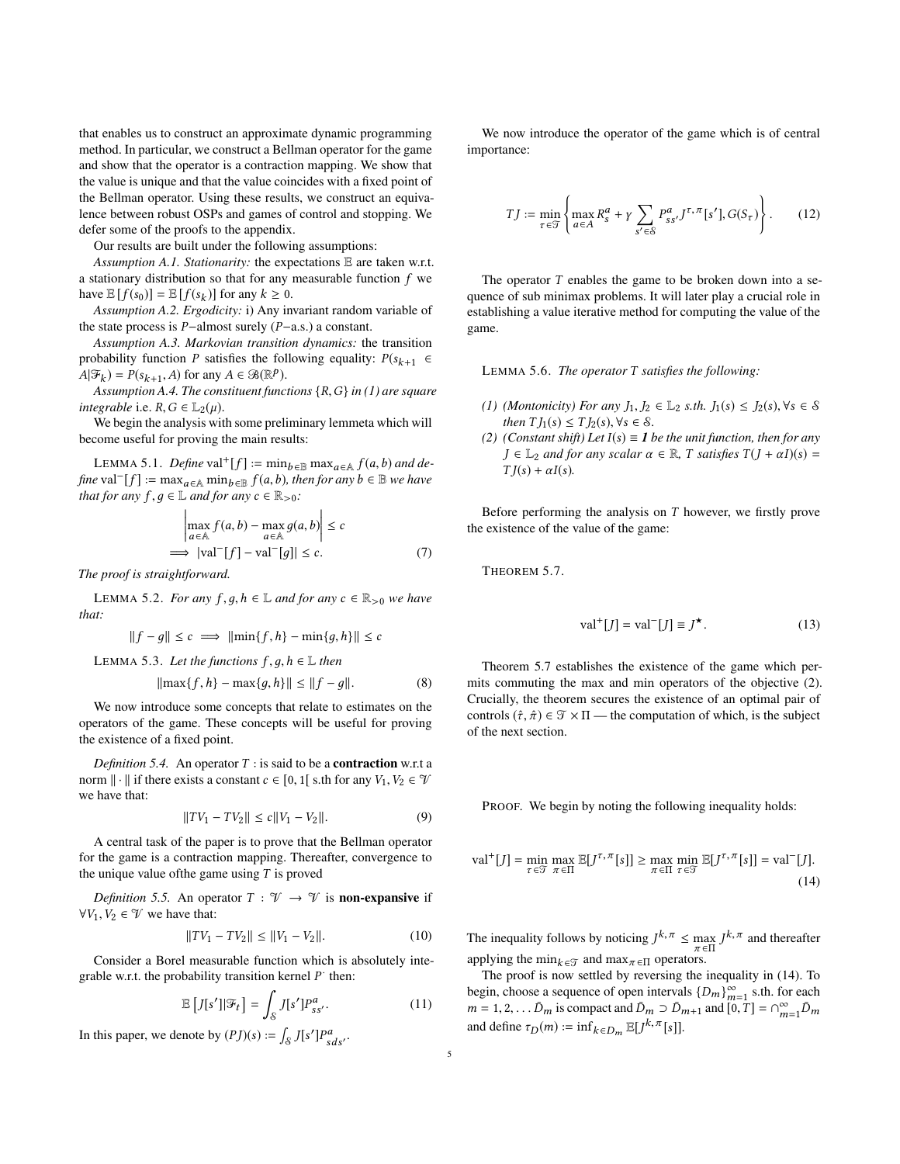that enables us to construct an approximate dynamic programming method. In particular, we construct a Bellman operator for the game and show that the operator is a contraction mapping. We show that the value is unique and that the value coincides with a fixed point of the Bellman operator. Using these results, we construct an equivalence between robust OSPs and games of control and stopping. We defer some of the proofs to the appendix.

Our results are built under the following assumptions:

*Assumption A.1. Stationarity:* the expectations E are taken w.r.t. a stationary distribution so that for any measurable function *f* we have  $\mathbb{E}[f(s_0)] = \mathbb{E}[f(s_k)]$  for any  $k \geq 0$ .

*Assumption A.2. Ergodicity:* i) Any invariant random variable of the state process is *P*−almost surely (*P*−a.s.) a constant.

*Assumption A.3. Markovian transition dynamics:* the transition probability function *P* satisfies the following equality:  $P(s_{k+1} \in$  $A(\mathcal{F}_k) = P(s_{k+1}, A)$  for any  $A \in \mathcal{B}(\mathbb{R}^p)$ .

*Assumption A.4. The constituent functions* {*R*,*G*} *in ([1](#page-2-1)) are square integrable* i.e.  $R$ ,  $G \in L_2(\mu)$ .

We begin the analysis with some preliminary lemmeta which will become useful for proving the main results:

<span id="page-4-6"></span>LEMMA 5.1. *Define*  $val^+[f] := min_{b \in \mathbb{B}} max_{a \in \mathbb{A}} f(a, b)$  *and define* val<sup> $-$ </sup>[*f*] := max<sub>*a*∈A</sub> min<sub>*b*∈B</sub> *f*(*a*,*b*)*, then for any b* ∈ B *we have that for any*  $f, g \in \mathbb{L}$  *and for any*  $c \in \mathbb{R}_{>0}$ *:* 

$$
\left| \max_{a \in A} f(a, b) - \max_{a \in A} g(a, b) \right| \le c
$$
  
\n
$$
\implies |\text{val}^{-}[f] - \text{val}^{-}[g]| \le c.
$$
 (7)

*The proof is straightforward.*

<span id="page-4-3"></span>LEMMA 5.2. *For any f*, *g*, *h* ∈  $\mathbb{L}$  *and for any*  $c \in \mathbb{R}_{>0}$  *we have that:*

$$
||f - g|| \le c \implies ||\min\{f, h\} - \min\{g, h\}|| \le c
$$

<span id="page-4-4"></span>LEMMA 5.3. Let the functions  $f, g, h \in \mathbb{L}$  then

$$
\|\max\{f, h\} - \max\{g, h\}\| \le \|f - g\|.\tag{8}
$$

We now introduce some concepts that relate to estimates on the operators of the game. These concepts will be useful for proving the existence of a fixed point.

*Definition 5.4.* An operator  $T$  : is said to be a **contraction** w.r.t a norm  $\|\cdot\|$  if there exists a constant  $c \in [0, 1]$  s.th for any  $V_1, V_2 \in \mathcal{V}$ we have that:

$$
||TV_1 - TV_2|| \le c||V_1 - V_2||. \tag{9}
$$

A central task of the paper is to prove that the Bellman operator for the game is a contraction mapping. Thereafter, convergence to the unique value ofthe game using *T* is proved

*Definition 5.5.* An operator  $T : \mathcal{V} \to \mathcal{V}$  is **non-expansive** if  $∀V_1, V_2 ∈ V$  we have that:

$$
||TV_1 - TV_2|| \le ||V_1 - V_2||. \tag{10}
$$

Consider a Borel measurable function which is absolutely integrable w.r.t. the probability transition kernel  $P$  then:

$$
\mathbb{E}\left[J[s']|\mathcal{F}_t\right] = \int_{\mathcal{S}} J[s']P_{ss'}^a.
$$
 (11)

In this paper, we denote by  $(PJ)(s) := \int_{S} J[s'] P_{sds'}^a$ .

We now introduce the operator of the game which is of central importance:

<span id="page-4-2"></span>
$$
TJ := \min_{\tau \in \mathcal{T}} \left\{ \max_{a \in A} R_s^a + \gamma \sum_{s' \in \mathcal{S}} P_{ss'}^a J^{\tau, \pi}[s'], G(S_{\tau}) \right\}.
$$
 (12)

The operator *T* enables the game to be broken down into a sequence of sub minimax problems. It will later play a crucial role in establishing a value iterative method for computing the value of the game.

<span id="page-4-5"></span>LEMMA 5.6. *The operator T satisfies the following:*

- *(1) (Montonicity) For any*  $J_1, J_2 \text{ ∈ } \mathbb{L}_2$  *s.th.*  $J_1(s) \leq J_2(s)$ ,  $\forall s \in \mathcal{S}$ *then*  $T J_1(s) \leq T J_2(s)$ ,  $\forall s \in \mathcal{S}$ .
- *(2) (Constant shift) Let*  $I(s) \equiv I$  *be the unit function, then for any*  $J \in \mathbb{L}_2$  *and for any scalar*  $\alpha \in \mathbb{R}$ , *T satisfies*  $T(J + \alpha I)(s) =$  $TJ(s) + \alpha I(s)$ .

<span id="page-4-0"></span>Before performing the analysis on *T* however, we firstly prove the existence of the value of the game:

THEOREM 5.7.

$$
\text{val}^+[J] = \text{val}^-[J] \equiv J^{\star}.
$$
 (13)

Theorem [5.7](#page-4-0) establishes the existence of the game which permits commuting the max and min operators of the objective [\(2\)](#page-2-2). Crucially, the theorem secures the existence of an optimal pair of controls  $(\hat{\tau}, \hat{\pi}) \in \mathcal{T} \times \Pi$  — the computation of which, is the subject of the next section.

<span id="page-4-1"></span>PROOF. We begin by noting the following inequality holds:

$$
\text{val}^+[J] = \min_{\tau \in \mathcal{T}} \max_{\pi \in \Pi} \mathbb{E}[J^{\tau,\pi}[s]] \ge \max_{\pi \in \Pi} \min_{\tau \in \mathcal{T}} \mathbb{E}[J^{\tau,\pi}[s]] = \text{val}^-[J].\tag{14}
$$

The inequality follows by noticing  $J^{k,\pi} \le \max_{\pi \in \Pi} J^{k,\pi}$  and thereafter applying the min<sub> $k \in \mathcal{T}$ </sub> and max<sub> $\pi \in \Pi$ </sub> operators.

The proof is now settled by reversing the inequality in [\(14\)](#page-4-1). To begin, choose a sequence of open intervals  $\{D_m\}_{m=1}^{\infty}$  s.th. for each  $m = 1, 2, \dots, \bar{D}_m$  is compact and  $\bar{D}_m \supset \bar{D}_{m+1}$  and  $[\bar{0}, \bar{T}] = \cap_{m=1}^{\infty} \bar{D}_m$ and define  $\tau_D(m) := \inf_{k \in D_m} \mathbb{E}[J^{k, \pi}[s]].$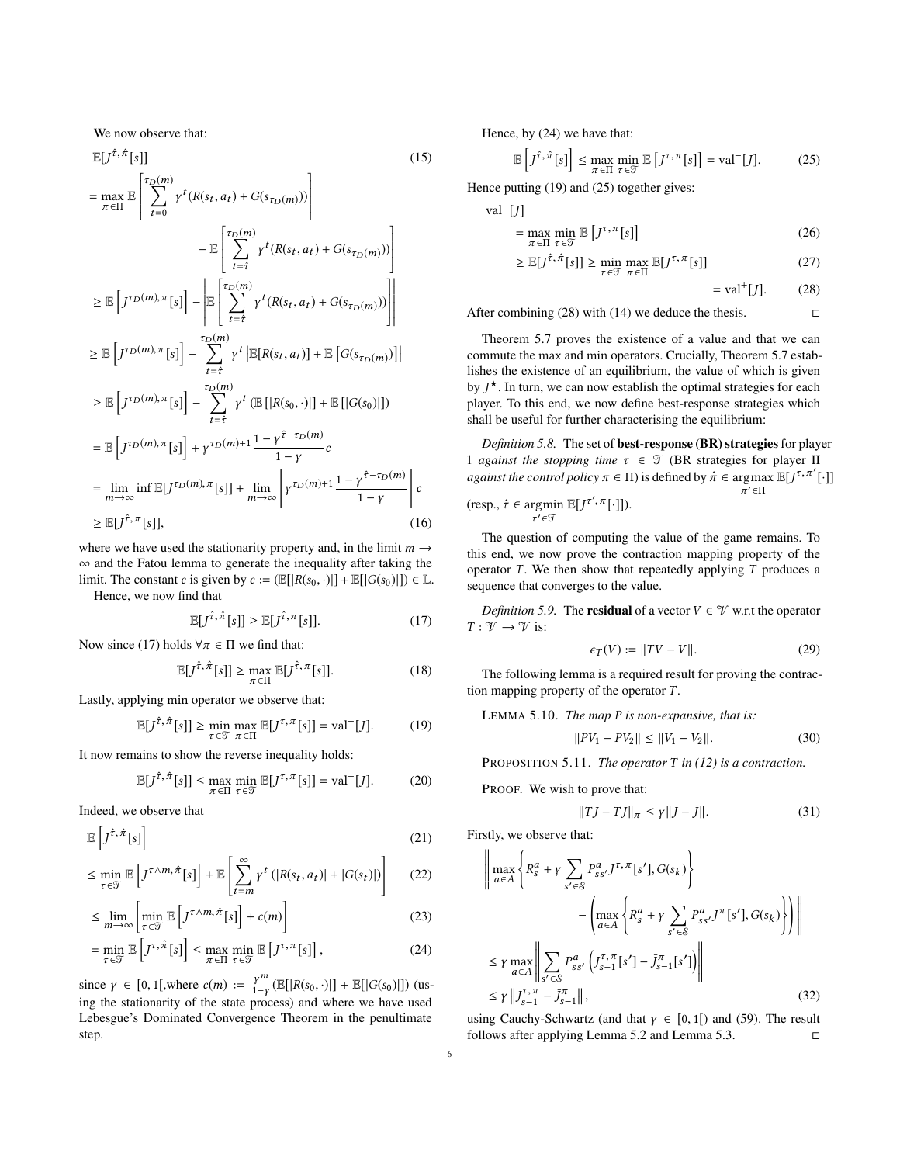We now observe that:

$$
\mathbb{E}[J^{\hat{\tau},\hat{\pi}}[s]]
$$
\n
$$
= \max_{\pi \in \Pi} \mathbb{E}\left[\sum_{t=0}^{\tau_D(m)} \gamma^t(R(s_t, a_t) + G(s_{\tau_D(m)}))\right]
$$
\n
$$
- \mathbb{E}\left[\sum_{t=\hat{\tau}}^{\tau_D(m)} \gamma^t(R(s_t, a_t) + G(s_{\tau_D(m)}))\right]
$$
\n
$$
\geq \mathbb{E}\left[J^{\tau_D(m), \pi}[s]\right] - \mathbb{E}\left[\sum_{t=\hat{\tau}}^{\tau_D(m)} \gamma^t(R(s_t, a_t) + G(s_{\tau_D(m)}))\right]
$$
\n
$$
\geq \mathbb{E}\left[J^{\tau_D(m), \pi}[s]\right] - \sum_{t=\hat{\tau}}^{\tau_D(m)} \gamma^t \left[\mathbb{E}[R(s_t, a_t)] + \mathbb{E}\left[G(s_{\tau_D(m)})\right]\right]
$$
\n
$$
\geq \mathbb{E}\left[J^{\tau_D(m), \pi}[s]\right] - \sum_{t=\hat{\tau}}^{\tau_D(m)} \gamma^t \left(\mathbb{E}\left[|R(s_0, \cdot)|\right] + \mathbb{E}\left[|G(s_0)|\right]\right)
$$
\n
$$
= \mathbb{E}\left[J^{\tau_D(m), \pi}[s]\right] + \gamma^{\tau_D(m)+1} \frac{1 - \gamma^{\hat{\tau} - \tau_D(m)}}{1 - \gamma}c
$$
\n
$$
= \lim_{m \to \infty} \inf \mathbb{E}[J^{\tau_D(m), \pi}[s]] + \lim_{m \to \infty} \left[\gamma^{\tau_D(m)+1} \frac{1 - \gamma^{\hat{\tau} - \tau_D(m)}}{1 - \gamma}\right]c
$$
\n
$$
\geq \mathbb{E}[J^{\hat{\tau}, \pi}[s]], \qquad (16)
$$

where we have used the stationarity property and, in the limit  $m \rightarrow$ ∞ and the Fatou lemma to generate the inequality after taking the limit. The constant *c* is given by  $c := (\mathbb{E}[|R(s_0, \cdot)|] + \mathbb{E}[|G(s_0)|]) \in \mathbb{L}$ . Hence, we now find that

$$
\mathbb{E}[J^{\hat{\tau},\hat{\pi}}[s]] \ge \mathbb{E}[J^{\hat{\tau},\pi}[s]]. \tag{17}
$$

Now since ([17\)](#page-5-0) holds  $\forall \pi \in \Pi$  we find that:

$$
\mathbb{E}[J^{\hat{\tau},\hat{\pi}}[s]] \ge \max_{\pi \in \Pi} \mathbb{E}[J^{\hat{\tau},\pi}[s]]. \tag{18}
$$

Lastly, applying min operator we observe that:

$$
\mathbb{E}[J^{\hat{\tau},\hat{\pi}}[s]] \ge \min_{\tau \in \mathcal{T}} \max_{\pi \in \Pi} \mathbb{E}[J^{\tau,\pi}[s]] = \text{val}^+[J]. \tag{19}
$$

It now remains to show the reverse inequality holds:

$$
\mathbb{E}[J^{\hat{\tau},\hat{\pi}}[s]] \le \max_{\pi \in \Pi} \min_{\tau \in \mathcal{T}} \mathbb{E}[J^{\tau,\pi}[s]] = \text{val}^{-}[J]. \tag{20}
$$

Indeed, we observe that

$$
\mathbb{E}\left[J^{\hat{\tau},\hat{\pi}}[s]\right] \tag{21}
$$

$$
\leq \min_{\tau \in \mathcal{T}} \mathbb{E}\left[J^{\tau \wedge m, \hat{\pi}}[s]\right] + \mathbb{E}\left[\sum_{t=m}^{\infty} \gamma^{t} \left(|R(s_t, a_t)| + |G(s_t)|\right)\right] \tag{22}
$$

$$
\leq \lim_{m \to \infty} \left[ \min_{\tau \in \mathcal{T}} \mathbb{E} \left[ J^{\tau \wedge m, \hat{\pi}}[s] \right] + c(m) \right] \tag{23}
$$

$$
= \min_{\tau \in \mathcal{T}} \mathbb{E}\left[J^{\tau,\hat{\pi}}[s]\right] \le \max_{\pi \in \Pi} \min_{\tau \in \mathcal{T}} \mathbb{E}\left[J^{\tau,\pi}[s]\right],\tag{24}
$$

since  $\gamma \in [0, 1]$ , where  $c(m) := \frac{\gamma^m}{1-\gamma} (\mathbb{E}[|R(s_0, \cdot)|] + \mathbb{E}[|G(s_0)|])$  (using the stationarity of the state process) and where we have used Lebesgue's Dominated Convergence Theorem in the penultimate step.

Hence, by [\(24](#page-5-1)) we have that:

$$
\mathbb{E}\left[J^{\hat{\tau},\hat{\pi}}[s]\right] \le \max_{\pi \in \Pi} \min_{\tau \in \mathcal{T}} \mathbb{E}\left[J^{\tau,\pi}[s]\right] = \text{val}^{-}[J].\tag{25}
$$

Hence putting ([19\)](#page-5-2) and [\(25](#page-5-3)) together gives:

val<sup>−</sup> [*J*]

$$
= \max_{\pi \in \Pi} \min_{\tau \in \mathcal{T}} \mathbb{E}\left[J^{\tau,\pi}[s]\right] \tag{26}
$$

$$
\geq \mathbb{E}[J^{\hat{\tau},\hat{\pi}}[s]] \geq \min_{\tau \in \mathcal{T}} \max_{\pi \in \Pi} \mathbb{E}[J^{\tau,\pi}[s]] \tag{27}
$$

<span id="page-5-4"></span><span id="page-5-3"></span>
$$
= val^{+}[J]. \qquad (28)
$$

After combining [\(28](#page-5-4)) with ([14\)](#page-4-1) we deduce the thesis.  $\square$ 

Theorem [5.7](#page-4-0) proves the existence of a value and that we can commute the max and min operators. Crucially, Theorem [5.7](#page-4-0) establishes the existence of an equilibrium, the value of which is given by  $J^{\star}$ . In turn, we can now establish the optimal strategies for each player. To this end, we now define best-response strategies which shall be useful for further characterising the equilibrium:

<span id="page-5-8"></span>*Definition 5.8.* The set of **best-response (BR) strategies** for player 1 *against the stopping time*  $\tau \in \mathcal{T}$  (BR strategies for player II *against the control policy*  $\pi \in \Pi$ ) is defined by  $\hat{\pi} \in \argmax \mathbb{E}[J^{\tau,\pi'}[\cdot]]$ *π* ′∈Π

$$
(\text{resp., } \hat{\tau} \in \underset{\tau' \in \mathcal{T}}{\text{argmin }} \mathbb{E}[J^{\tau', \pi}[\cdot]]).
$$

The question of computing the value of the game remains. To this end, we now prove the contraction mapping property of the operator  $T$ . We then show that repeatedly applying  $T$  produces a sequence that converges to the value.

<span id="page-5-0"></span>*Definition 5.9.* The **residual** of a vector  $V \in \mathcal{V}$  w.r.t the operator  $T: \mathcal{V} \rightarrow \mathcal{V}$  is:

$$
\epsilon_T(V) := \|TV - V\|.\tag{29}
$$

<span id="page-5-2"></span>The following lemma is a required result for proving the contraction mapping property of the operator *T* .

<span id="page-5-9"></span>LEMMA 5.10. *The map P is non-expansive, that is:*

$$
||PV_1 - PV_2|| \le ||V_1 - V_2||. \tag{30}
$$

<span id="page-5-5"></span>PROPOSITION 5.11. *The operator T in [\(12](#page-4-2)) is a contraction.*

PROOF. We wish to prove that:

$$
||TJ - T\bar{J}||_{\pi} \le \gamma ||J - \bar{J}||. \tag{31}
$$

<span id="page-5-6"></span>Firstly, we observe that:

<span id="page-5-7"></span>
$$
\left\| \max_{a \in A} \left\{ R_s^a + \gamma \sum_{s' \in \mathcal{S}} P_{ss'}^a J^{\tau, \pi}[s'], G(s_k) \right\} \right\|
$$

$$
- \left( \max_{a \in A} \left\{ R_s^a + \gamma \sum_{s' \in \mathcal{S}} P_{ss'}^a J^{\pi}[s'], \bar{G}(s_k) \right\} \right) \right\|
$$

$$
\leq \gamma \max_{a \in A} \left\| \sum_{s' \in \mathcal{S}} P_{ss'}^a \left( J_{s-1}^{\tau, \pi}[s'] - \bar{J}_{s-1}^{\pi}[s'] \right) \right\|
$$

$$
\leq \gamma \left\| J_{s-1}^{\tau, \pi} - \bar{J}_{s-1}^{\tau} \right\|, \tag{32}
$$

<span id="page-5-1"></span>using Cauchy-Schwartz (and that  $\gamma \in [0,1]$ ) and ([59\)](#page-9-0). The result follows after applying Lemma [5.2](#page-4-3) and Lemma [5.3](#page-4-4).  $\square$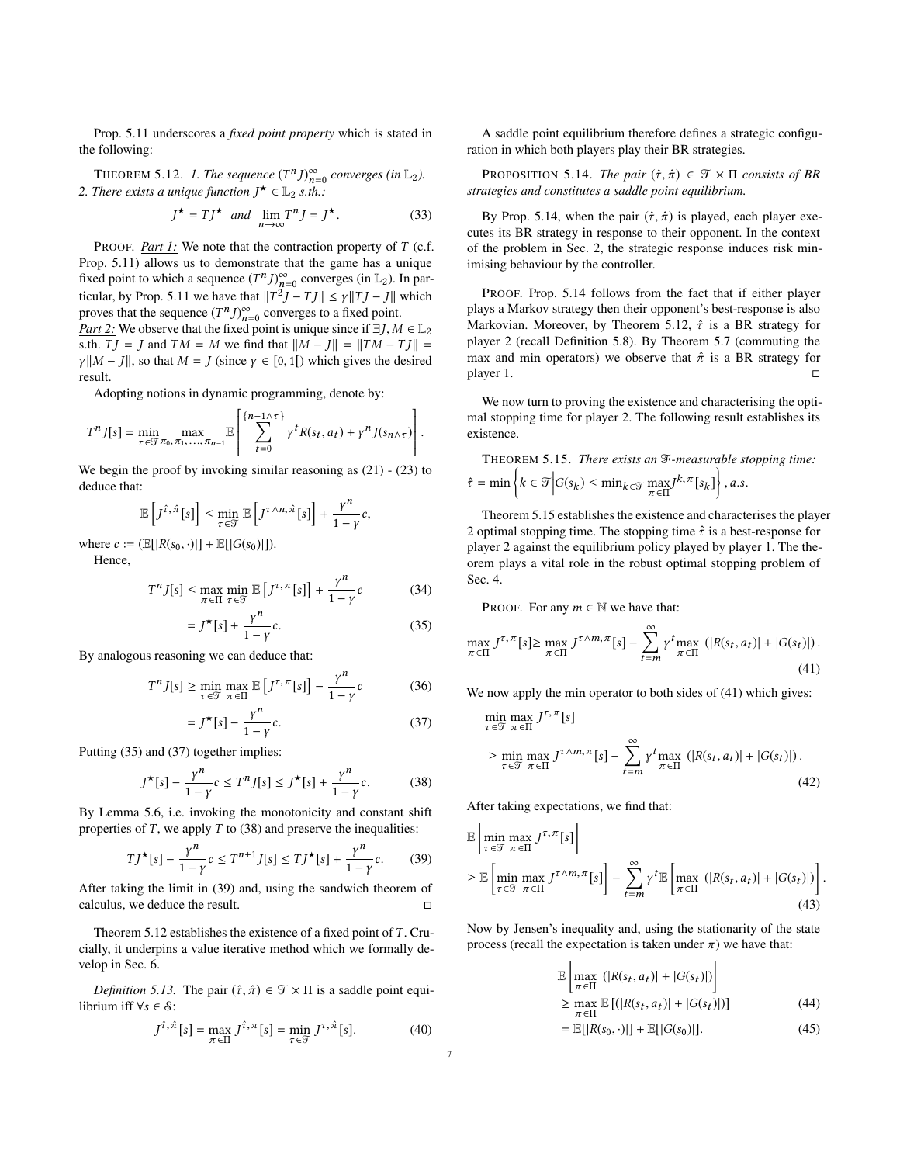Prop. [5.11](#page-5-5) underscores a *fixed point property* which is stated in the following:

<span id="page-6-5"></span>THEOREM 5.12. *1. The sequence*  $(T^n J)_{n=0}^{\infty}$  converges (in  $\mathbb{L}_2$ ). 2. There exists a unique function  $J^{\star} \in \mathbb{L}_2$  s.th.:

$$
J^{\star} = TJ^{\star} \quad and \quad \lim_{n \to \infty} T^n J = J^{\star}.
$$
 (33)

PROOF. *Part 1:* We note that the contraction property of *T* (c.f. Prop. [5.11\)](#page-5-5) allows us to demonstrate that the game has a unique fixed point to which a sequence  $(T^n J)_{n=0}^{\infty}$  converges (in  $\mathbb{L}_2$ ). In par-ticular, by Prop. [5.11](#page-5-5) we have that  $||T^2J - TJ|| \leq \gamma ||TJ - J||$  which proves that the sequence  $(T^n J)_{n=0}^{\infty}$  converges to a fixed point. *Part 2:* We observe that the fixed point is unique since if  $\exists J, M \in \mathbb{L}_2$ s.th.  $TJ = J$  and  $TM = M$  we find that  $||M - J|| = ||TM - TJ|| =$ *γ*  $||M - J||$ , so that  $M = J$  (since  $\gamma \in [0, 1]$ ) which gives the desired result.

Adopting notions in dynamic programming, denote by:

$$
T^n J[s] = \min_{\tau \in \mathcal{T}\pi_0, \pi_1, \dots, \pi_{n-1}} \mathbb{E}\left[\sum_{t=0}^{\{n-1\wedge \tau\}} \gamma^t R(s_t, a_t) + \gamma^n J(s_{n\wedge \tau})\right].
$$

We begin the proof by invoking similar reasoning as [\(21](#page-5-6)) - ([23](#page-5-7)) to deduce that:

$$
\mathbb{E}\left[J^{\hat{\tau},\hat{\pi}}[s]\right] \leq \min_{\tau \in \mathcal{T}} \mathbb{E}\left[J^{\tau \wedge n,\hat{\pi}}[s]\right] + \frac{\gamma^n}{1-\gamma}c,
$$

where  $c := (\mathbb{E}[|R(s_0, \cdot)|] + \mathbb{E}[|G(s_0)|]).$ Hence,

$$
T^n I[s] < \max_{s \in [0,1]} \max_{s \in [0,1]} \min_{s \in [0,1]} \min_{s \in [0,1]} \min_{s \in [0,1]} \min_{s \in [0,1]} \min_{s \in [0,1]} \min_{s \in [0,1]} \min_{s \in [0,1]} \min_{s \in [0,1]} \min_{s \in [0,1]} \min_{s \in [0,1]} \min_{s \in [0,1]} \min_{s \in [0,1]} \min_{s \in [0,1]} \min_{s \in [0,1]} \min_{s \in [0,1]} \min_{s \in [0,1]} \min_{s \in [0,1]} \min_{s \in [0,1]} \min_{s \in [0,1]} \min_{s \in [0,1]} \min_{s \in [0,1]} \min_{s \in [0,1]} \min_{s \in [0,1]} \min_{s \in [0,1]} \min_{s \in [0,1]} \min_{s \in [0,1]} \min_{s \in [0,1]} \min_{s \in [0,1]} \min_{s \in [0,1]} \min_{s \in [0,1]} \min_{s \in [0,1]} \min_{s \in [0,1]} \min_{s \in [0,1]} \min_{s \in [0,1]} \min_{s \in [0,1]} \min_{s \in [0,1]} \min_{s \in [0,1]} \min_{s \in [0,1]} \min_{s \in [0,1]} \min_{s \in [0,1]} \min_{s \in [0,1]} \min_{s \in [0,1]} \min_{s \in [0,1]} \min_{s \in [0,1]} \min_{s \in [0,1]} \min_{s \in [0,1]} \min_{s \in [0,1]} \min_{s \in [0,1]} \min_{s \in [0,1]} \min_{s \in [0,1]} \min_{s \in [0,1]} \min_{s \in [0,1]} \min_{s \in [0,1]} \min_{s \in [0,1]} \min_{s \in [0,1]} \min_{s \in [0,1]} \min_{s \in [0,1]} \min_{s \in [0,1]} \min_{s \in [0,1]} \min_{s \in [0,1]} \min_{s \in [0,1]} \min_{s \in [0,1]} \min_{s \in [0,1]} \min_{s \in [0,1]} \min_{s \in [0,1]} \min_{s \in [0,1]} \min_{
$$

$$
\Gamma^n J[s] \le \max_{\pi \in \Pi} \min_{\tau \in \mathcal{T}} \mathbb{E} \left[ J^{\tau, \pi}[s] \right] + \frac{\gamma^n}{1 - \gamma} c \tag{34}
$$

$$
= J^{\star}[s] + \frac{\gamma^{n}}{1 - \gamma}c. \tag{35}
$$

By analogous reasoning we can deduce that:

$$
T^{n}J[s] \geq \min_{\tau \in \mathcal{T}} \max_{\pi \in \Pi} \mathbb{E}\left[J^{\tau,\pi}[s]\right] - \frac{\gamma^{n}}{1-\gamma}c
$$
 (36)

$$
= J^{\star}[s] - \frac{\gamma^{n}}{1 - \gamma}c. \tag{37}
$$

Putting ([35\)](#page-6-1) and [\(37](#page-6-2)) together implies:

$$
J^{\star}[s] - \frac{\gamma^{n}}{1-\gamma}c \le T^{n}J[s] \le J^{\star}[s] + \frac{\gamma^{n}}{1-\gamma}c. \tag{38}
$$

By Lemma [5.6](#page-4-5), i.e. invoking the monotonicity and constant shift properties of *T* , we apply *T* to [\(38](#page-6-3)) and preserve the inequalities:

$$
TJ^{\star}[s] - \frac{\gamma^{n}}{1-\gamma}c \le T^{n+1}J[s] \le TJ^{\star}[s] + \frac{\gamma^{n}}{1-\gamma}c. \tag{39}
$$

After taking the limit in ([39\)](#page-6-4) and, using the sandwich theorem of calculus, we deduce the result. □

Theorem [5.12](#page-6-5) establishes the existence of a fixed point of *T* . Crucially, it underpins a value iterative method which we formally develop in Sec. [6.](#page-7-2)

*Definition 5.13.* The pair  $(\hat{\tau}, \hat{\pi}) \in \mathcal{T} \times \Pi$  is a saddle point equilibrium iff ∀*s* ∈ <sup>S</sup>:

$$
J^{\hat{\tau},\hat{\pi}}[s] = \max_{\pi \in \Pi} J^{\hat{\tau},\pi}[s] = \min_{\tau \in \mathcal{T}} J^{\tau,\hat{\pi}}[s]. \tag{40}
$$

A saddle point equilibrium therefore defines a strategic configuration in which both players play their BR strategies.

<span id="page-6-6"></span>**PROPOSITION 5.14.** *The pair*  $(\hat{\tau}, \hat{\pi}) \in \mathcal{T} \times \Pi$  *consists of BR strategies and constitutes a saddle point equilibrium.*

By Prop. [5.14](#page-6-6), when the pair  $(\hat{r}, \hat{\pi})$  is played, each player executes its BR strategy in response to their opponent. In the context of the problem in Sec. [2](#page-1-0), the strategic response induces risk minimising behaviour by the controller.

PROOF. Prop. [5.14](#page-6-6) follows from the fact that if either player plays a Markov strategy then their opponent's best-response is also Markovian. Moreover, by Theorem [5.12](#page-6-5), *τ*ˆ is a BR strategy for player 2 (recall Definition [5.8](#page-5-8)). By Theorem [5.7](#page-4-0) (commuting the max and min operators) we observe that  $\hat{\pi}$  is a BR strategy for player 1.  $\Box$ 

We now turn to proving the existence and characterising the optimal stopping time for player 2. The following result establishes its existence.

<span id="page-6-0"></span>THEOREM 5.15. There exists an 
$$
\mathcal{F}
$$
-measurable stopping time:  
\n $\hat{\tau} = \min \left\{ k \in \mathcal{T} \middle| G(s_k) \le \min_{k \in \mathcal{T}} \max_{\pi \in \Pi} J^{k, \pi}[s_k] \right\}, a.s.$ 

Theorem [5.15](#page-6-0) establishes the existence and characterises the player 2 optimal stopping time. The stopping time  $\hat{\tau}$  is a best-response for player 2 against the equilibrium policy played by player 1. The theorem plays a vital role in the robust optimal stopping problem of Sec. 4.

PROOF. For any  $m \in \mathbb{N}$  we have that:

<span id="page-6-1"></span>
$$
\max_{\pi \in \Pi} J^{\tau,\pi}[s] \ge \max_{\pi \in \Pi} J^{\tau \wedge m,\pi}[s] - \sum_{t=m}^{\infty} \gamma^t \max_{\pi \in \Pi} \left( |R(s_t, a_t)| + |G(s_t)| \right). \tag{41}
$$

<span id="page-6-2"></span>We now apply the min operator to both sides of  $(41)$  $(41)$  which gives:

<span id="page-6-7"></span>
$$
\min_{\tau \in \mathcal{T}} \max_{\pi \in \Pi} J^{\tau, \pi}[s]
$$
\n
$$
\geq \min_{\tau \in \mathcal{T}} \max_{\pi \in \Pi} J^{\tau \wedge m, \pi}[s] - \sum_{t=m}^{\infty} \gamma^{t} \max_{\pi \in \Pi} (|R(s_t, a_t)| + |G(s_t)|).
$$
\n(42)

<span id="page-6-3"></span>After taking expectations, we find that:

<span id="page-6-9"></span> $\mathbf{r}$ 

<span id="page-6-4"></span>
$$
\mathbb{E}\left[\min_{\tau \in \mathcal{T}} \max_{\pi \in \Pi} J^{\tau, \pi}[s]\right]
$$
\n
$$
\geq \mathbb{E}\left[\min_{\tau \in \mathcal{T}} \max_{\pi \in \Pi} J^{\tau \wedge m, \pi}[s]\right] - \sum_{t=m}^{\infty} \gamma^t \mathbb{E}\left[\max_{\pi \in \Pi} \left(|R(s_t, a_t)| + |G(s_t)|\right)\right].
$$
\n(43)

Now by Jensen's inequality and, using the stationarity of the state process (recall the expectation is taken under  $\pi$ ) we have that:

$$
\mathbb{E}\left[\max_{\pi \in \Pi} (|R(s_t, a_t)| + |G(s_t)|)\right]
$$
  
\n
$$
\geq \max_{\pi \in \Pi} \mathbb{E}\left[ (|R(s_t, a_t)| + |G(s_t)|) \right]
$$
 (44)

<span id="page-6-8"></span>
$$
= \mathbb{E}[|R(s_0, \cdot)|] + \mathbb{E}[|G(s_0)|]. \tag{45}
$$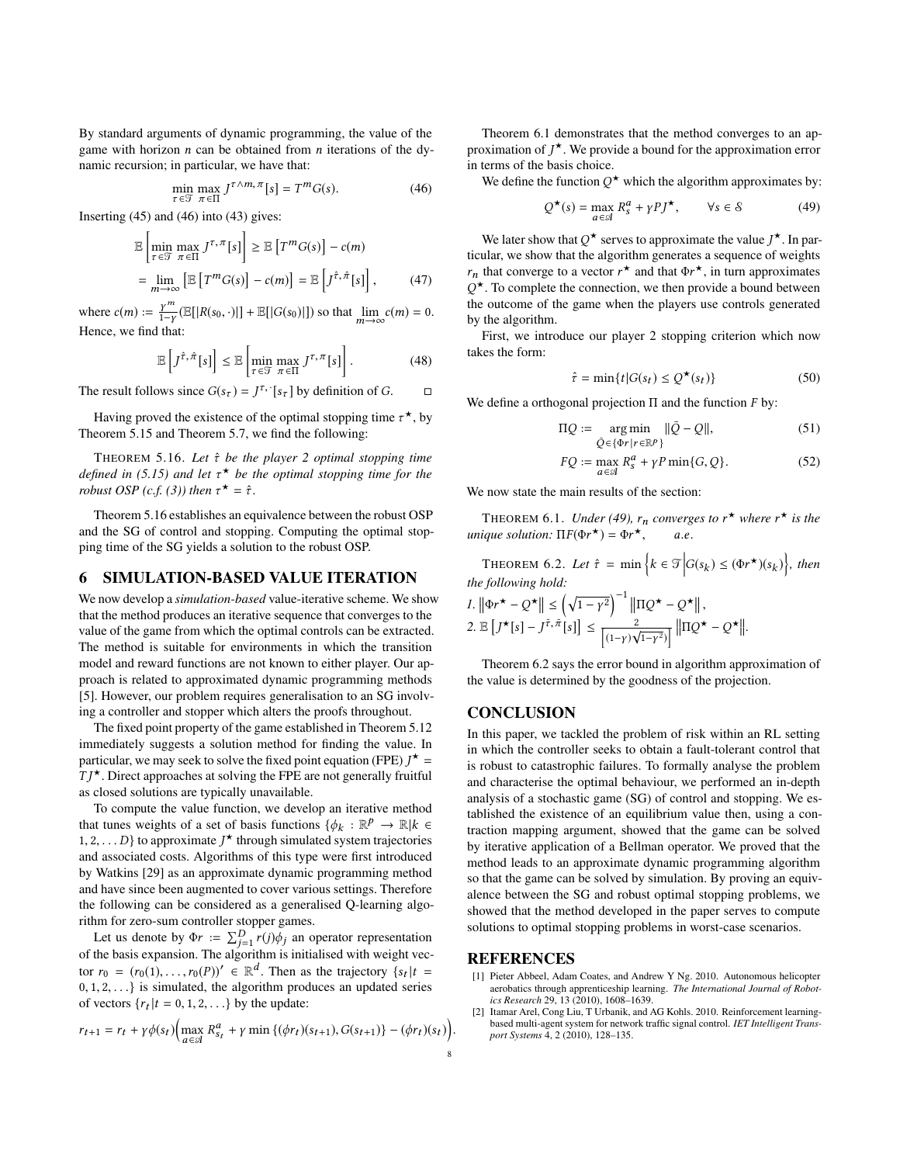By standard arguments of dynamic programming, the value of the game with horizon *n* can be obtained from *n* iterations of the dynamic recursion; in particular, we have that:

$$
\min_{\tau \in \mathcal{T}} \max_{\pi \in \Pi} J^{\tau \wedge m, \pi}[s] = T^m G(s). \tag{46}
$$

Inserting ([45\)](#page-6-8) and [\(46](#page-7-3)) into ([43\)](#page-6-9) gives:

$$
\mathbb{E}\left[\min_{\tau \in \mathcal{T}} \max_{\pi \in \Pi} J^{\tau, \pi}[s]\right] \geq \mathbb{E}\left[T^m G(s)\right] - c(m)
$$
\n
$$
= \lim_{m \to \infty} \left[\mathbb{E}\left[T^m G(s)\right] - c(m)\right] = \mathbb{E}\left[J^{\hat{\tau}, \hat{\pi}}[s]\right],\tag{47}
$$

where  $c(m) := \frac{\gamma^m}{1-\gamma} (\mathbb{E}[|R(s_0, \cdot)|] + \mathbb{E}[|G(s_0)|])$  so that  $\lim_{m \to \infty} c(m) = 0$ . Hence, we find that:

$$
\mathbb{E}\left[J^{\hat{\tau},\hat{\pi}}[s]\right] \leq \mathbb{E}\left[\min_{\tau\in\mathcal{T}}\max_{\pi\in\Pi}J^{\tau,\pi}[s]\right].\tag{48}
$$

The result follows since  $G(s_\tau) = J^\tau$ ,  $[s_\tau]$  by definition of *G*.  $\Box$ 

Having proved the existence of the optimal stopping time  $\tau^*$ , by Theorem [5.15](#page-6-0) and Theorem [5.7](#page-4-0), we find the following:

<span id="page-7-4"></span>THEOREM 5.16. *Let τ*ˆ *be the player 2 optimal stopping time defined in [\(5.15\)](#page-6-0) and let τ* <sup>⋆</sup> *be the optimal stopping time for the robust OSP* (*c.f.* [\(3\)](#page-2-5)) then  $\tau^* = \hat{\tau}$ .

Theorem [5.16](#page-7-4) establishes an equivalence between the robust OSP and the SG of control and stopping. Computing the optimal stopping time of the SG yields a solution to the robust OSP.

#### <span id="page-7-2"></span>6 SIMULATION-BASED VALUE ITERATION

We now develop a *simulation-based* value-iterative scheme. We show that the method produces an iterative sequence that converges to the value of the game from which the optimal controls can be extracted. The method is suitable for environments in which the transition model and reward functions are not known to either player. Our approach is related to approximated dynamic programming methods [[5](#page-8-29)]. However, our problem requires generalisation to an SG involving a controller and stopper which alters the proofs throughout.

The fixed point property of the game established in Theorem [5.12](#page-6-5) immediately suggests a solution method for finding the value. In particular, we may seek to solve the fixed point equation (FPE)  $J^*$  = *T J* <sup>⋆</sup>. Direct approaches at solving the FPE are not generally fruitful as closed solutions are typically unavailable.

To compute the value function, we develop an iterative method that tunes weights of a set of basis functions  $\{\phi_k : \mathbb{R}^p \to \mathbb{R} | k \in$ 1, 2, . . . *D*} to approximate  $J^{\star}$  through simulated system trajectories and associated costs. Algorithms of this type were first introduced by Watkins [[29\]](#page-8-30) as an approximate dynamic programming method and have since been augmented to cover various settings. Therefore the following can be considered as a generalised Q-learning algorithm for zero-sum controller stopper games.

Let us denote by  $\Phi r := \sum_{j=1}^{D} r(j)\phi_j$  an operator representation of the basis expansion. The algorithm is initialised with weight vector  $r_0 = (r_0(1), \ldots, r_0(P))' \in \mathbb{R}^d$ . Then as the trajectory  $\{s_t | t =$ 0, 1, 2, . . .} is simulated, the algorithm produces an updated series of vectors  $\{r_t | t = 0, 1, 2, \ldots\}$  by the update:

$$
r_{t+1} = r_t + \gamma \phi(s_t) \Big( \max_{a \in \mathcal{A}} R_{s_t}^a + \gamma \min \{ (\phi r_t)(s_{t+1}), G(s_{t+1}) \} - (\phi r_t)(s_t) \Big).
$$

<span id="page-7-3"></span>Theorem [6.1](#page-7-5) demonstrates that the method converges to an approximation of  $J^{\star}$ . We provide a bound for the approximation error in terms of the basis choice.

We define the function  $Q^*$  which the algorithm approximates by:

<span id="page-7-6"></span>
$$
Q^{\star}(s) = \max_{a \in \mathcal{A}} R_s^a + \gamma P J^{\star}, \qquad \forall s \in \mathcal{S}
$$
 (49)

We later show that  $Q^*$  serves to approximate the value  $J^*$ . In particular, we show that the algorithm generates a sequence of weights  $r_n$  that converge to a vector  $r^*$  and that  $\Phi r^*$ , in turn approximates  $Q^{\star}$ . To complete the connection, we then provide a bound between the outcome of the game when the players use controls generated by the algorithm.

First, we introduce our player 2 stopping criterion which now takes the form:

$$
\hat{\tau} = \min\{t | G(s_t) \le Q^{\star}(s_t) \}
$$
\n(50)

We define a orthogonal projection Π and the function *F* by:

$$
\Pi Q := \underset{\bar{Q} \in \{\Phi r \mid r \in \mathbb{R}^p\}}{\arg \min} \|\bar{Q} - Q\|,\tag{51}
$$

$$
FQ := \max_{a \in \mathcal{A}} R_s^a + \gamma P \min\{G, Q\}.
$$
 (52)

<span id="page-7-5"></span>We now state the main results of the section:

THEOREM 6.1. *Under* [\(49](#page-7-6)),  $r_n$  *converges to*  $r^*$  *where*  $r^*$  *is the*  $unique$  *solution:*  $\Pi F(\Phi r^{\star}) = \Phi r$ <sup>⋆</sup>, *a*.*e*.

<span id="page-7-7"></span>THEOREM 6.2. Let  $\hat{\tau} = \min \left\{ k \in \mathcal{T} \middle| G(s_k) \leq (\Phi r^{\star})(s_k) \right\}$ , then *the following hold:*

$$
I. \|\Phi r^{\star} - Q^{\star}\| \leq \left(\sqrt{1 - r^2}\right)^{-1} \|\Pi Q^{\star} - Q^{\star}\|,
$$
  
2.  $\mathbb{E}\left[J^{\star}[s] - J^{\tilde{r}, \tilde{\pi}}[s]\right] \leq \frac{2}{\left[(1 - r)\sqrt{1 - r^2}\right)} \|\Pi Q^{\star} - Q^{\star}\|.$ 

Theorem [6.2](#page-7-7) says the error bound in algorithm approximation of the value is determined by the goodness of the projection.

#### **CONCLUSION**

In this paper, we tackled the problem of risk within an RL setting in which the controller seeks to obtain a fault-tolerant control that is robust to catastrophic failures. To formally analyse the problem and characterise the optimal behaviour, we performed an in-depth analysis of a stochastic game (SG) of control and stopping. We established the existence of an equilibrium value then, using a contraction mapping argument, showed that the game can be solved by iterative application of a Bellman operator. We proved that the method leads to an approximate dynamic programming algorithm so that the game can be solved by simulation. By proving an equivalence between the SG and robust optimal stopping problems, we showed that the method developed in the paper serves to compute solutions to optimal stopping problems in worst-case scenarios.

#### REFERENCES

- <span id="page-7-1"></span>[1] Pieter Abbeel, Adam Coates, and Andrew Y Ng. 2010. Autonomous helicopter aerobatics through apprenticeship learning. *The International Journal of Robotics Research* 29, 13 (2010), 1608–1639.
- <span id="page-7-0"></span>[2] Itamar Arel, Cong Liu, T Urbanik, and AG Kohls. 2010. Reinforcement learningbased multi-agent system for network traffic signal control. *IET Intelligent Transport Systems* 4, 2 (2010), 128–135.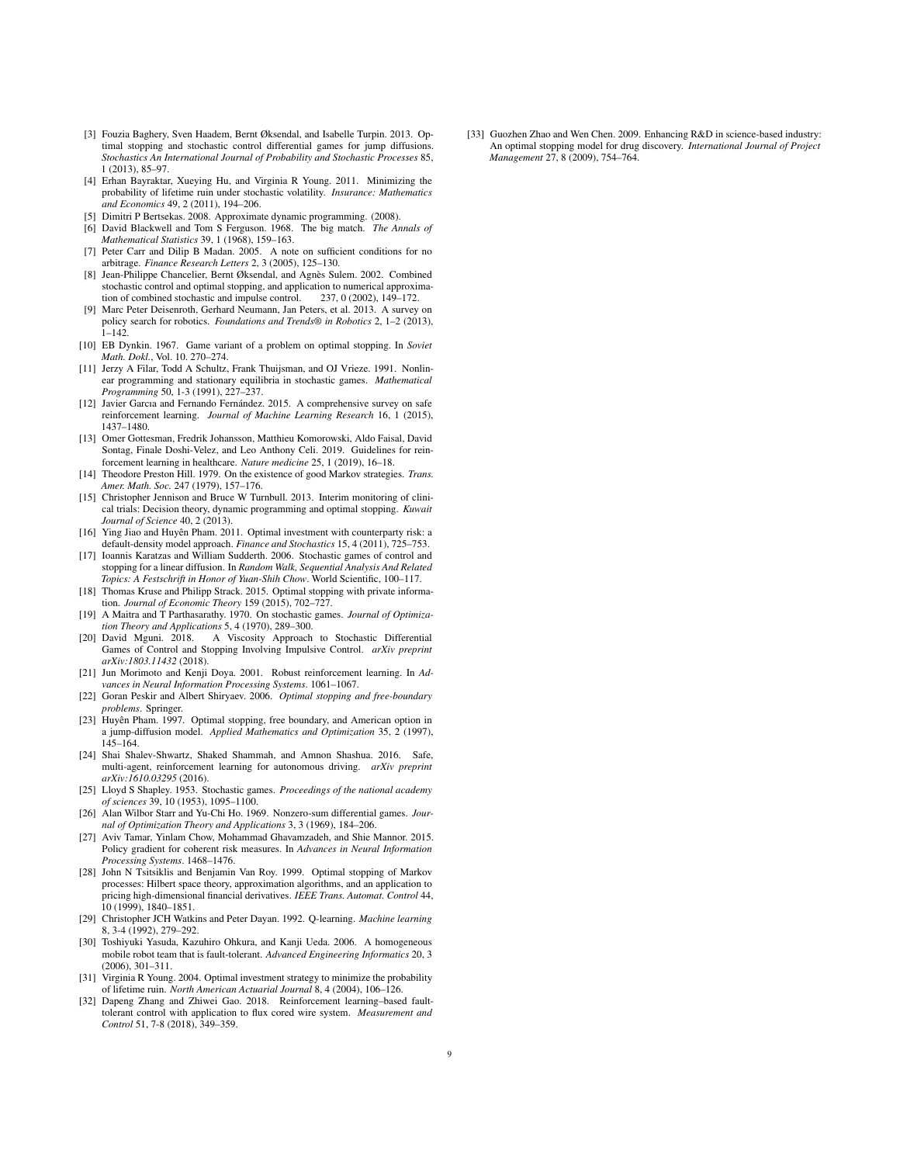- <span id="page-8-18"></span>[3] Fouzia Baghery, Sven Haadem, Bernt Øksendal, and Isabelle Turpin. 2013. Optimal stopping and stochastic control differential games for jump diffusions. *Stochastics An International Journal of Probability and Stochastic Processes* 85, 1 (2013), 85–97.
- <span id="page-8-17"></span>[4] Erhan Bayraktar, Xueying Hu, and Virginia R Young. 2011. Minimizing the probability of lifetime ruin under stochastic volatility. *Insurance: Mathematics and Economics* 49, 2 (2011), 194–206.
- <span id="page-8-29"></span>[5] Dimitri P Bertsekas. 2008. Approximate dynamic programming. (2008).
- <span id="page-8-27"></span>[6] David Blackwell and Tom S Ferguson. 1968. The big match. *The Annals of Mathematical Statistics* 39, 1 (1968), 159–163.
- <span id="page-8-25"></span>[7] Peter Carr and Dilip B Madan. 2005. A note on sufficient conditions for no arbitrage. *Finance Research Letters* 2, 3 (2005), 125–130.
- <span id="page-8-15"></span>[8] Jean-Philippe Chancelier, Bernt Øksendal, and Agnès Sulem. 2002. Combined stochastic control and optimal stopping, and application to numerical approximation of combined stochastic and impulse control. 237, 0 (2002), 149–172.
- <span id="page-8-1"></span>[9] Marc Peter Deisenroth, Gerhard Neumann, Jan Peters, et al. 2013. A survey on policy search for robotics. *Foundations and Trends® in Robotics* 2, 1–2 (2013),  $1 - 142$ .
- <span id="page-8-14"></span>[10] EB Dynkin. 1967. Game variant of a problem on optimal stopping. In *Soviet Math. Dokl.*, Vol. 10. 270–274.
- <span id="page-8-11"></span>[11] Jerzy A Filar, Todd A Schultz, Frank Thuijsman, and OJ Vrieze. 1991. Nonlinear programming and stationary equilibria in stochastic games. *Mathematical Programming* 50, 1-3 (1991), 227–237.
- <span id="page-8-0"></span>[12] Javier Garcıa and Fernando Fernández. 2015. A comprehensive survey on safe reinforcement learning. *Journal of Machine Learning Research* 16, 1 (2015), 1437–1480.
- <span id="page-8-3"></span>[13] Omer Gottesman, Fredrik Johansson, Matthieu Komorowski, Aldo Faisal, David Sontag, Finale Doshi-Velez, and Leo Anthony Celi. 2019. Guidelines for reinforcement learning in healthcare. *Nature medicine* 25, 1 (2019), 16–18.
- <span id="page-8-26"></span>[14] Theodore Preston Hill. 1979. On the existence of good Markov strategies. *Trans. Amer. Math. Soc.* 247 (1979), 157–176.
- <span id="page-8-22"></span>[15] Christopher Jennison and Bruce W Turnbull. 2013. Interim monitoring of clinical trials: Decision theory, dynamic programming and optimal stopping. *Kuwait Journal of Science* 40, 2 (2013).
- <span id="page-8-6"></span>[16] Ying Jiao and Huyên Pham. 2011. Optimal investment with counterparty risk: a default-density model approach. *Finance and Stochastics* 15, 4 (2011), 725–753.
- <span id="page-8-16"></span>[17] Ioannis Karatzas and William Sudderth. 2006. Stochastic games of control and stopping for a linear diffusion. In *Random Walk, Sequential Analysis And Related Topics: A Festschrift in Honor of Yuan-Shih Chow*. World Scientific, 100–117.
- <span id="page-8-21"></span>[18] Thomas Kruse and Philipp Strack. 2015. Optimal stopping with private information. *Journal of Economic Theory* 159 (2015), 702–727.
- <span id="page-8-12"></span>[19] A Maitra and T Parthasarathy. 1970. On stochastic games. *Journal of Optimization Theory and Applications* 5, 4 (1970), 289–300.
- <span id="page-8-19"></span>[20] David Mguni. 2018. A Viscosity Approach to Stochastic Differential Games of Control and Stopping Involving Impulsive Control. *arXiv preprint arXiv:1803.11432* (2018).
- <span id="page-8-4"></span>[21] Jun Morimoto and Kenji Doya. 2001. Robust reinforcement learning. In *Advances in Neural Information Processing Systems*. 1061–1067.
- <span id="page-8-7"></span>[22] Goran Peskir and Albert Shiryaev. 2006. *Optimal stopping and free-boundary problems*. Springer.
- <span id="page-8-20"></span>[23] Huyên Pham. 1997. Optimal stopping, free boundary, and American option in a jump-diffusion model. *Applied Mathematics and Optimization* 35, 2 (1997), 145–164.
- <span id="page-8-2"></span>[24] Shai Shalev-Shwartz, Shaked Shammah, and Amnon Shashua. 2016. Safe, multi-agent, reinforcement learning for autonomous driving. *arXiv preprint arXiv:1610.03295* (2016).
- <span id="page-8-13"></span>[25] Lloyd S Shapley. 1953. Stochastic games. *Proceedings of the national academy of sciences* 39, 10 (1953), 1095–1100.
- <span id="page-8-28"></span>[26] Alan Wilbor Starr and Yu-Chi Ho. 1969. Nonzero-sum differential games. *Journal of Optimization Theory and Applications* 3, 3 (1969), 184–206.
- <span id="page-8-5"></span>[27] Aviv Tamar, Yinlam Chow, Mohammad Ghavamzadeh, and Shie Mannor. 2015. Policy gradient for coherent risk measures. In *Advances in Neural Information Processing Systems*. 1468–1476.
- <span id="page-8-8"></span>[28] John N Tsitsiklis and Benjamin Van Roy. 1999. Optimal stopping of Markov processes: Hilbert space theory, approximation algorithms, and an application to pricing high-dimensional financial derivatives. *IEEE Trans. Automat. Control* 44, 10 (1999), 1840–1851.
- <span id="page-8-30"></span>[29] Christopher JCH Watkins and Peter Dayan. 1992. Q-learning. *Machine learning* 8, 3-4 (1992), 279–292.
- <span id="page-8-10"></span>[30] Toshiyuki Yasuda, Kazuhiro Ohkura, and Kanji Ueda. 2006. A homogeneous mobile robot team that is fault-tolerant. *Advanced Engineering Informatics* 20, 3 (2006), 301–311.
- <span id="page-8-23"></span>[31] Virginia R Young. 2004. Optimal investment strategy to minimize the probability of lifetime ruin. *North American Actuarial Journal* 8, 4 (2004), 106–126.
- <span id="page-8-9"></span>[32] Dapeng Zhang and Zhiwei Gao. 2018. Reinforcement learning–based faulttolerant control with application to flux cored wire system. *Measurement and Control* 51, 7-8 (2018), 349–359.

<span id="page-8-24"></span>[33] Guozhen Zhao and Wen Chen. 2009. Enhancing R&D in science-based industry: An optimal stopping model for drug discovery. *International Journal of Project Management* 27, 8 (2009), 754–764.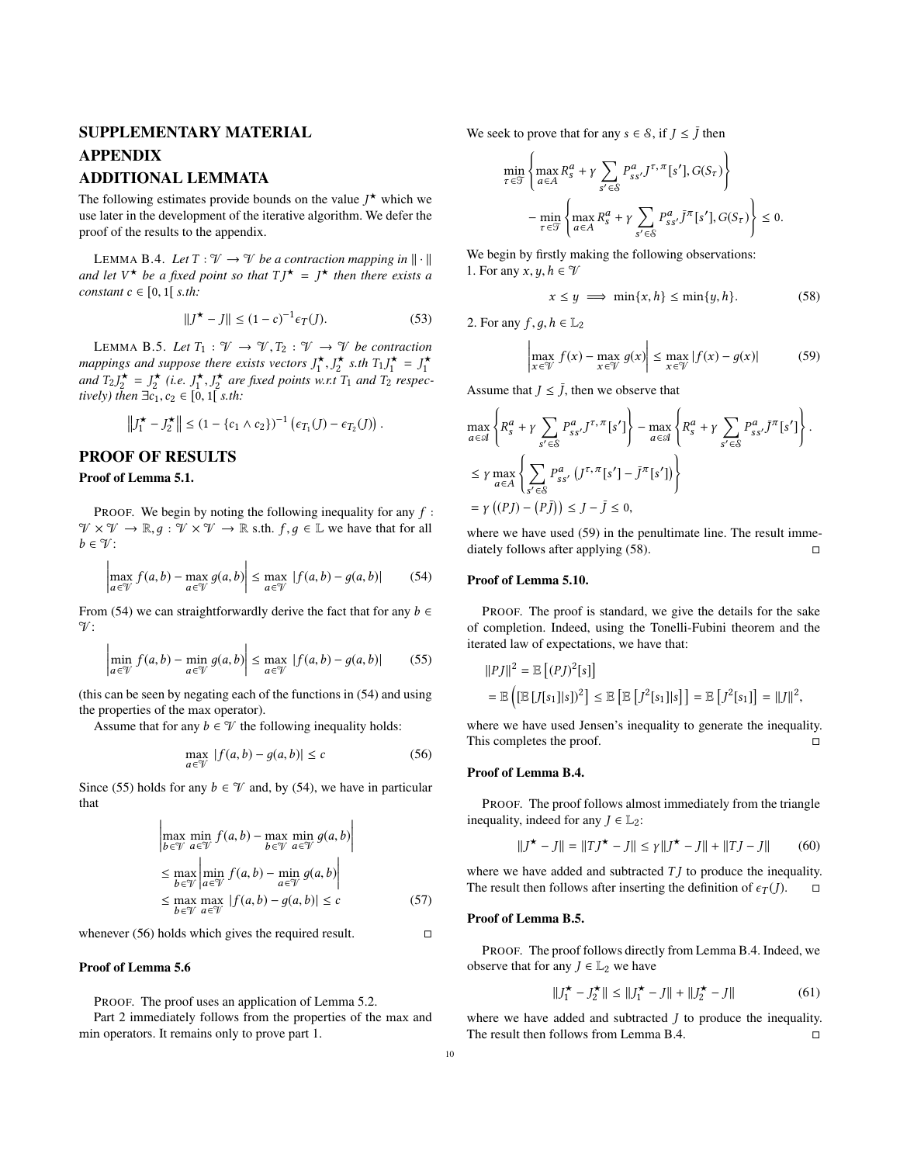# SUPPLEMENTARY MATERIAL APPENDIX

# ADDITIONAL LEMMATA

The following estimates provide bounds on the value  $J^*$  which we use later in the development of the iterative algorithm. We defer the proof of the results to the appendix.

<span id="page-9-5"></span>LEMMA B.4. *Let*  $T : \mathcal{V} \to \mathcal{V}$  *be a contraction mapping in*  $\|\cdot\|$ *and let*  $V^*$  *be a fixed point so that*  $T J^* = J^*$  *then there exists a constant*  $c \in [0, 1]$  *s.th:* 

$$
||J^{\star} - J|| \le (1 - c)^{-1} \epsilon_T(J). \tag{53}
$$

<span id="page-9-6"></span>LEMMA B.5. Let  $T_1 : \mathcal{V} \to \mathcal{V}, T_2 : \mathcal{V} \to \mathcal{V}$  be contraction mappings and suppose there exists vectors  $J_1^{\star}$ ,  $J_2^{\star}$  s.th  $T_1J_1^{\star} = J_1^{\star}$ and  $T_2 J_2^* = J_2^*$  (i.e.  $J_1^*, J_2^*$  are fixed points w.r.t  $T_1$  and  $T_2$  respec*tively) then*  $\exists c_1, c_2 \in [0, 1]$  *s.th:* 

$$
\left\|J_1^{\star}-J_2^{\star}\right\| \leq (1-\{c_1 \wedge c_2\})^{-1} \left(\epsilon_{T_1}(J)-\epsilon_{T_2}(J)\right).
$$

# PROOF OF RESULTS

#### Proof of Lemma [5.1.](#page-4-6)

 $\mathbf{r}$ 

PROOF. We begin by noting the following inequality for any *f* :  $\mathcal{V} \times \mathcal{V} \to \mathbb{R}, g : \mathcal{V} \times \mathcal{V} \to \mathbb{R}$  s.th.  $f, g \in \mathbb{L}$  we have that for all  $b \in \mathcal{V}$ :

$$
\left|\max_{a \in \mathcal{V}} f(a, b) - \max_{a \in \mathcal{V}} g(a, b)\right| \le \max_{a \in \mathcal{V}} |f(a, b) - g(a, b)| \tag{54}
$$

From ([54\)](#page-9-1) we can straightforwardly derive the fact that for any  $b \in$  $\gamma$ :

$$
\left|\min_{a \in \mathcal{V}} f(a, b) - \min_{a \in \mathcal{V}} g(a, b)\right| \le \max_{a \in \mathcal{V}} |f(a, b) - g(a, b)| \tag{55}
$$

(this can be seen by negating each of the functions in ([54\)](#page-9-1) and using the properties of the max operator).

Assume that for any  $b \in \mathcal{V}$  the following inequality holds:

$$
\max_{a \in \mathcal{V}} |f(a, b) - g(a, b)| \le c \tag{56}
$$

Since [\(55](#page-9-2)) holds for any  $b \in \mathcal{V}$  and, by ([54\)](#page-9-1), we have in particular that

$$
\left| \max_{b \in \mathcal{V}} \min_{a \in \mathcal{V}} f(a, b) - \max_{b \in \mathcal{V}} \min_{a \in \mathcal{V}} g(a, b) \right|
$$
  
\n
$$
\leq \max_{b \in \mathcal{V}} \left| \min_{a \in \mathcal{V}} f(a, b) - \min_{a \in \mathcal{V}} g(a, b) \right|
$$
  
\n
$$
\leq \max_{b \in \mathcal{V}} \max_{a \in \mathcal{V}} |f(a, b) - g(a, b)| \leq c
$$
 (57)

whenever [\(56](#page-9-3)) holds which gives the required result.  $□$ 

#### Proof of Lemma [5.6](#page-4-5)

PROOF. The proof uses an application of Lemma [5.2.](#page-4-3)

Part 2 immediately follows from the properties of the max and min operators. It remains only to prove part 1.

We seek to prove that for any  $s \in \mathcal{S}$ , if  $J \leq \overline{J}$  then

$$
\min_{\tau \in \mathcal{T}} \left\{ \max_{a \in A} R_s^a + \gamma \sum_{s' \in \mathcal{S}} P_{ss'}^a J^{\tau, \pi}[s'], G(S_{\tau}) \right\}
$$

$$
- \min_{\tau \in \mathcal{T}} \left\{ \max_{a \in A} R_s^a + \gamma \sum_{s' \in \mathcal{S}} P_{ss'}^a \bar{J}^{\pi}[s'], G(S_{\tau}) \right\} \le 0.
$$

We begin by firstly making the following observations: 1. For any  $x, y, h \in \mathcal{V}$ 

<span id="page-9-4"></span><span id="page-9-0"></span>
$$
x \le y \implies \min\{x, h\} \le \min\{y, h\}.
$$
 (58)

2. For any *f*, *g*, *h*  $\in \mathbb{L}_2$ 

$$
\left| \max_{x \in \mathcal{V}} f(x) - \max_{x \in \mathcal{V}} g(x) \right| \le \max_{x \in \mathcal{V}} |f(x) - g(x)| \tag{59}
$$

Assume that  $J \leq \overline{J}$ , then we observe that

$$
\max_{a \in \mathcal{A}} \left\{ R_s^a + \gamma \sum_{s' \in \mathcal{S}} P_{ss'}^a J^{\tau, \pi}[s'] \right\} - \max_{a \in \mathcal{A}} \left\{ R_s^a + \gamma \sum_{s' \in \mathcal{S}} P_{ss'}^a \bar{J}^{\pi}[s'] \right\}.
$$
  
\n
$$
\leq \gamma \max_{a \in A} \left\{ \sum_{s' \in \mathcal{S}} P_{ss'}^a (J^{\tau, \pi}[s'] - \bar{J}^{\pi}[s']) \right\}
$$
  
\n
$$
= \gamma ((PJ) - (P\bar{J})) \leq J - \bar{J} \leq 0,
$$

where we have used [\(59](#page-9-0)) in the penultimate line. The result immediately follows after applying  $(58)$  $(58)$ . □

#### <span id="page-9-1"></span>Proof of Lemma [5.10](#page-5-9).

<span id="page-9-2"></span>PROOF. The proof is standard, we give the details for the sake of completion. Indeed, using the Tonelli-Fubini theorem and the iterated law of expectations, we have that:

$$
\begin{aligned} ||PJ||^2 &= \mathbb{E}\left[ (P J)^2[s] \right] \\ &= \mathbb{E}\left[ \left( \mathbb{E}\left[ J[s_1] | s \right] \right)^2 \right] \le \mathbb{E}\left[ \mathbb{E}\left[ J^2[s_1] | s \right] \right] = \mathbb{E}\left[ J^2[s_1] \right] = ||J||^2, \end{aligned}
$$

<span id="page-9-3"></span>where we have used Jensen's inequality to generate the inequality. This completes the proof. □

#### Proof of Lemma [B.4](#page-9-5).

PROOF. The proof follows almost immediately from the triangle inequality, indeed for any  $J \in \mathbb{L}_2$ :

$$
||J^{\star} - J|| = ||TJ^{\star} - J|| \le \gamma ||J^{\star} - J|| + ||TJ - J|| \tag{60}
$$

where we have added and subtracted  $TJ$  to produce the inequality. The result then follows after inserting the definition of  $\epsilon_T(J)$ .  $\Box$ 

#### Proof of Lemma [B.5](#page-9-6).

PROOF. The proof follows directly from Lemma [B.4](#page-9-5). Indeed, we observe that for any  $J \in L_2$  we have

$$
||J_1^{\star} - J_2^{\star}|| \le ||J_1^{\star} - J|| + ||J_2^{\star} - J|| \tag{61}
$$

where we have added and subtracted *J* to produce the inequality. The result then follows from Lemma [B.4.](#page-9-5)  $□$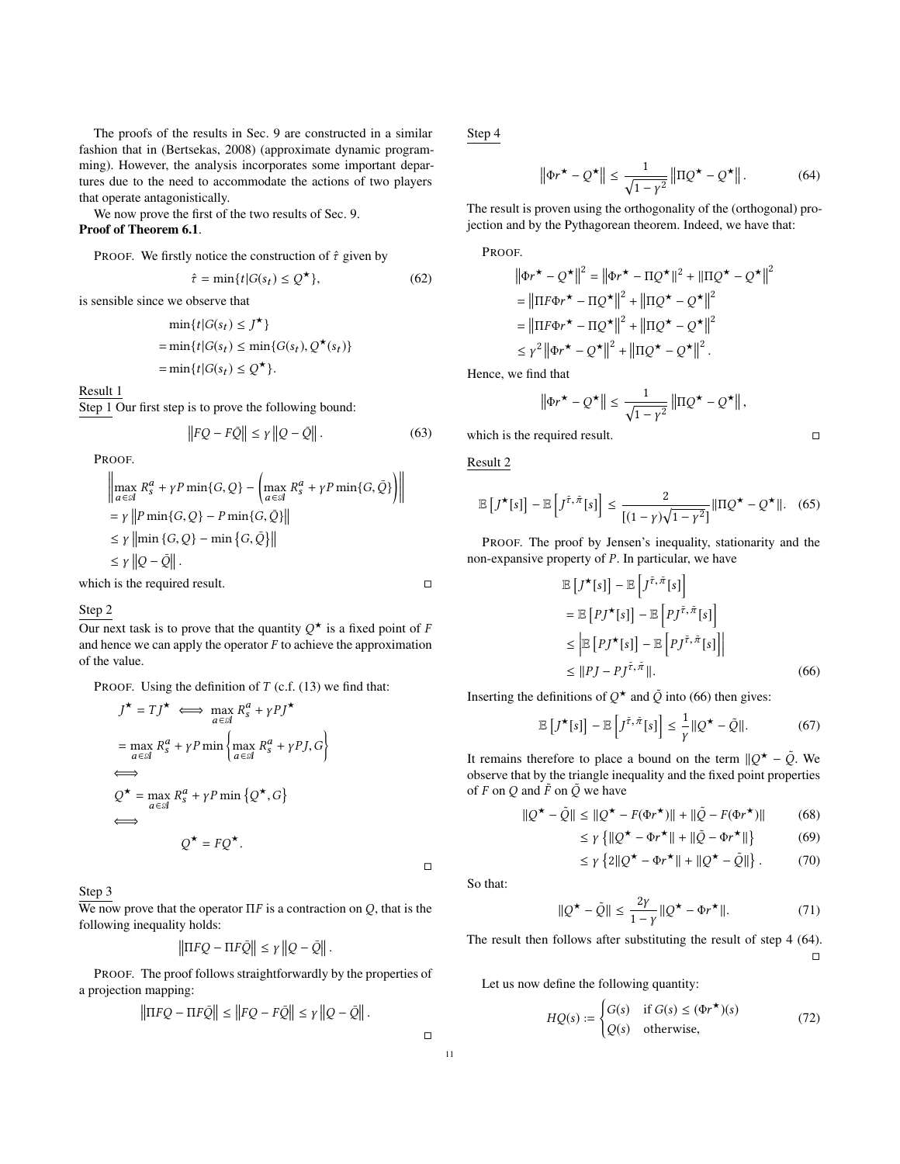The proofs of the results in Sec. 9 are constructed in a similar fashion that in (Bertsekas, 2008) (approximate dynamic programming). However, the analysis incorporates some important departures due to the need to accommodate the actions of two players that operate antagonistically.

We now prove the first of the two results of Sec. 9.

# Proof of Theorem [6.1](#page-7-5).

PROOF. We firstly notice the construction of *τ*ˆ given by

$$
\hat{\tau} = \min\{t | G(s_t) \le Q^{\star}\},\tag{62}
$$

is sensible since we observe that

$$
\min\{t|G(s_t) \leq J^{\star}\}\
$$

$$
= \min\{t|G(s_t) \leq \min\{G(s_t), Q^{\star}(s_t)\}\}
$$

$$
= \min\{t|G(s_t) \leq Q^{\star}\}.
$$

Result 1

Step 1 Our first step is to prove the following bound:

$$
||FQ - F\bar{Q}|| \le \gamma ||Q - \bar{Q}||. \tag{63}
$$

PROOF.

$$
\left\| \max_{a \in \mathcal{A}} R_s^a + \gamma P \min\{G, Q\} - \left( \max_{a \in \mathcal{A}} R_s^a + \gamma P \min\{G, \bar{Q}\} \right) \right\|
$$
  
=  $\gamma \left\| P \min\{G, Q\} - P \min\{G, \bar{Q}\} \right\|$   
 $\leq \gamma \left\| \min\{G, Q\} - \min\{G, \bar{Q}\} \right\|$   
 $\leq \gamma \left\| Q - \bar{Q} \right\|.$ 

which is the required result.  $□$ 

#### Step 2

Our next task is to prove that the quantity  $Q^*$  is a fixed point of *F* and hence we can apply the operator *F* to achieve the approximation of the value.

PROOF. Using the definition of *T* (c.f. (13) we find that:

$$
J^{\star} = TJ^{\star} \iff \max_{a \in \mathcal{A}} R_s^a + \gamma PJ^{\star}
$$
  
= 
$$
\max_{a \in \mathcal{A}} R_s^a + \gamma P \min \left\{ \max_{a \in \mathcal{A}} R_s^a + \gamma PJ, G \right\}
$$
  

$$
\iff
$$
  

$$
Q^{\star} = \max_{a \in \mathcal{A}} R_s^a + \gamma P \min \left\{ Q^{\star}, G \right\}
$$
  

$$
\iff
$$
  

$$
Q^{\star} = FQ^{\star}.
$$

Step 3

We now prove that the operator Π*F* is a contraction on *Q*, that is the following inequality holds:

$$
\left\|\Pi FQ - \Pi F\bar{Q}\right\| \leq \gamma \left\|Q - \bar{Q}\right\|.
$$

PROOF. The proof follows straightforwardly by the properties of a projection mapping:

$$
\left\|\Pi FQ - \Pi F\bar{Q}\right\| \le \left\|FQ - F\bar{Q}\right\| \le \gamma \left\|Q - \bar{Q}\right\|.
$$

Step 4

<span id="page-10-1"></span>
$$
\left\|\Phi r^{\star} - Q^{\star}\right\| \le \frac{1}{\sqrt{1 - \gamma^2}} \left\|\Pi Q^{\star} - Q^{\star}\right\|.
$$
 (64)

The result is proven using the orthogonality of the (orthogonal) projection and by the Pythagorean theorem. Indeed, we have that:

PROOF.

$$
\|\Phi r^{\star} - Q^{\star}\|^2 = \|\Phi r^{\star} - \Pi Q^{\star}\|^2 + \|\Pi Q^{\star} - Q^{\star}\|^2
$$
  
\n
$$
= \|\Pi F \Phi r^{\star} - \Pi Q^{\star}\|^2 + \|\Pi Q^{\star} - Q^{\star}\|^2
$$
  
\n
$$
= \|\Pi F \Phi r^{\star} - \Pi Q^{\star}\|^2 + \|\Pi Q^{\star} - Q^{\star}\|^2
$$
  
\n
$$
\leq \gamma^2 \|\Phi r^{\star} - Q^{\star}\|^2 + \|\Pi Q^{\star} - Q^{\star}\|^2.
$$

Hence, we find that

$$
\left\|\Phi r^{\star} - Q^{\star}\right\| \leq \frac{1}{\sqrt{1-\gamma^2}} \left\|\Pi Q^{\star} - Q^{\star}\right\|,
$$

which is the required result.  $□$ 

Result 2

$$
\mathbb{E}\left[J^{\star}[s]\right] - \mathbb{E}\left[J^{\tilde{\tau},\tilde{\pi}}[s]\right] \le \frac{2}{[(1-\gamma)\sqrt{1-\gamma^2}]} \|\Pi Q^{\star} - Q^{\star}\|.\tag{65}
$$

PROOF. The proof by Jensen's inequality, stationarity and the non-expansive property of *P*. In particular, we have

$$
\mathbb{E}\left[J^{\star}[s]\right] - \mathbb{E}\left[J^{\tilde{\tau},\tilde{\pi}}[s]\right]
$$
\n
$$
= \mathbb{E}\left[PJ^{\star}[s]\right] - \mathbb{E}\left[PJ^{\tilde{\tau},\tilde{\pi}}[s]\right]
$$
\n
$$
\leq \left|\mathbb{E}\left[PJ^{\star}[s]\right] - \mathbb{E}\left[PJ^{\tilde{\tau},\tilde{\pi}}[s]\right]\right|
$$
\n
$$
\leq \|PJ - PJ^{\tilde{\tau},\tilde{\pi}}\|.
$$
\n(66)

Inserting the definitions of  $Q^*$  and  $\tilde{Q}$  into [\(66](#page-10-0)) then gives:

<span id="page-10-0"></span>
$$
\mathbb{E}\left[J^{\star}[s]\right] - \mathbb{E}\left[J^{\tilde{\tau},\tilde{\pi}}[s]\right] \leq \frac{1}{\gamma} \|Q^{\star} - \tilde{Q}\|.
$$
 (67)

It remains therefore to place a bound on the term  $\mathcal{Q}^{\star} - \tilde{Q}$ . We observe that by the triangle inequality and the fixed point properties of *F* on *Q* and  $\tilde{F}$  on  $\tilde{Q}$  we have

$$
\|\mathcal{Q}^{\star} - \tilde{\mathcal{Q}}\| \le \|\mathcal{Q}^{\star} - F(\Phi r^{\star})\| + \|\tilde{\mathcal{Q}} - F(\Phi r^{\star})\| \tag{68}
$$

$$
\leq \gamma \left\{ \left\| \mathcal{Q}^{\star} - \Phi r^{\star} \right\| + \left\| \tilde{\mathcal{Q}} - \Phi r^{\star} \right\| \right\} \tag{69}
$$

$$
\leq \gamma \left\{2\|Q^\star - \Phi r^\star\| + \|Q^\star - \tilde{Q}\|\right\}.\tag{70}
$$

So that:

$$
\|Q^{\star} - \tilde{Q}\| \le \frac{2\gamma}{1 - \gamma} \|Q^{\star} - \Phi r^{\star}\|.
$$
 (71)

The result then follows after substituting the result of step 4 ([64\)](#page-10-1). □

Let us now define the following quantity:

$$
HQ(s) := \begin{cases} G(s) & \text{if } G(s) \le (\Phi r^*) (s) \\ Q(s) & \text{otherwise,} \end{cases}
$$
(72)

 $\Box$ 

 $\Box$